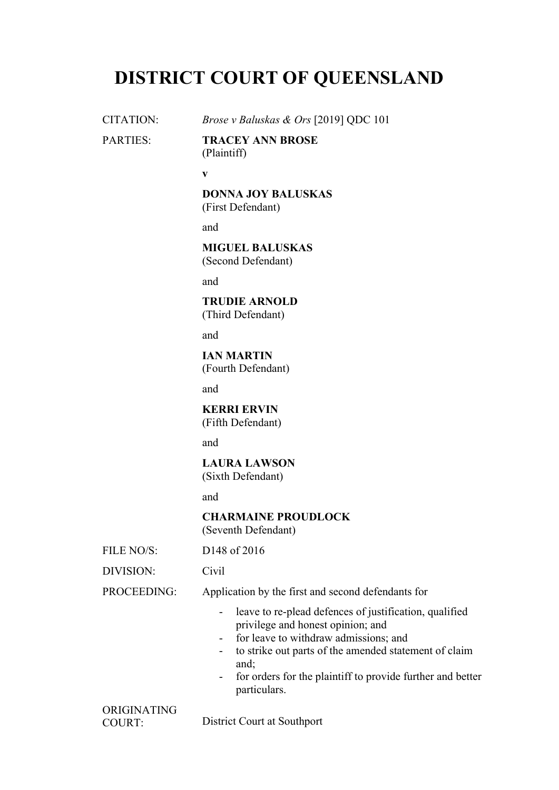# **DISTRICT COURT OF QUEENSLAND**

CITATION: *Brose v Baluskas & Ors* [2019] QDC 101 PARTIES: **TRACEY ANN BROSE** (Plaintiff) **v DONNA JOY BALUSKAS** (First Defendant) and **MIGUEL BALUSKAS** (Second Defendant) and **TRUDIE ARNOLD** (Third Defendant) and **IAN MARTIN** (Fourth Defendant) and **KERRI ERVIN** (Fifth Defendant) and **LAURA LAWSON** (Sixth Defendant) and **CHARMAINE PROUDLOCK** (Seventh Defendant) FILE  $NO/S$ : D148 of 2016 DIVISION: Civil PROCEEDING: Application by the first and second defendants for - leave to re-plead defences of justification, qualified privilege and honest opinion; and - for leave to withdraw admissions; and - to strike out parts of the amended statement of claim and; - for orders for the plaintiff to provide further and better particulars.

ORIGINATING

COURT: District Court at Southport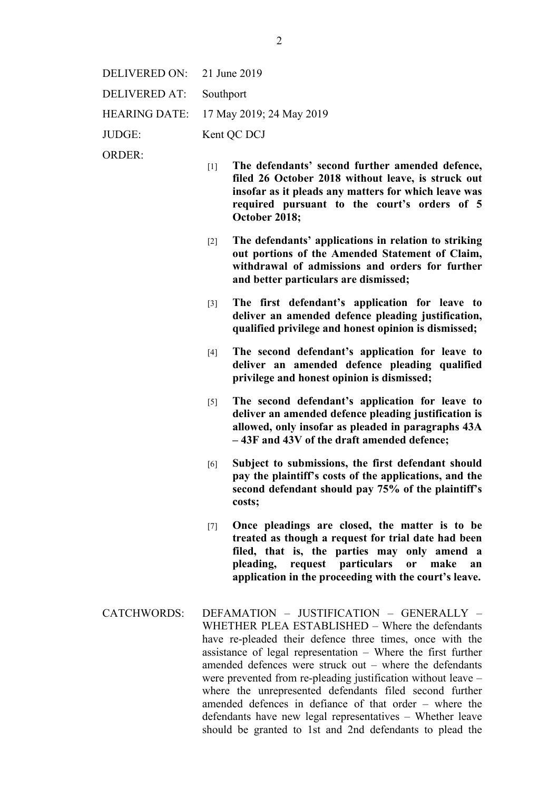| DELIVERED ON: $21$ June 2019 |                                        |
|------------------------------|----------------------------------------|
| DELIVERED AT:                | Southport                              |
|                              | HEARING DATE: 17 May 2019; 24 May 2019 |
| JUDGE:                       | Kent QC DCJ                            |
|                              |                                        |

ORDER:

- [1] **The defendants' second further amended defence, filed 26 October 2018 without leave, is struck out insofar as it pleads any matters for which leave was required pursuant to the court's orders of 5 October 2018;**
- [2] **The defendants' applications in relation to striking out portions of the Amended Statement of Claim, withdrawal of admissions and orders for further and better particulars are dismissed;**
- [3] **The first defendant's application for leave to deliver an amended defence pleading justification, qualified privilege and honest opinion is dismissed;**
- [4] **The second defendant's application for leave to deliver an amended defence pleading qualified privilege and honest opinion is dismissed;**
- [5] **The second defendant's application for leave to deliver an amended defence pleading justification is allowed, only insofar as pleaded in paragraphs 43A – 43F and 43V of the draft amended defence;**
- [6] **Subject to submissions, the first defendant should pay the plaintiff's costs of the applications, and the second defendant should pay 75% of the plaintiff's costs;**
- [7] **Once pleadings are closed, the matter is to be treated as though a request for trial date had been filed, that is, the parties may only amend a pleading, request particulars or make an application in the proceeding with the court's leave.**
- CATCHWORDS: DEFAMATION JUSTIFICATION GENERALLY WHETHER PLEA ESTABLISHED – Where the defendants have re-pleaded their defence three times, once with the assistance of legal representation – Where the first further amended defences were struck out – where the defendants were prevented from re-pleading justification without leave – where the unrepresented defendants filed second further amended defences in defiance of that order – where the defendants have new legal representatives – Whether leave should be granted to 1st and 2nd defendants to plead the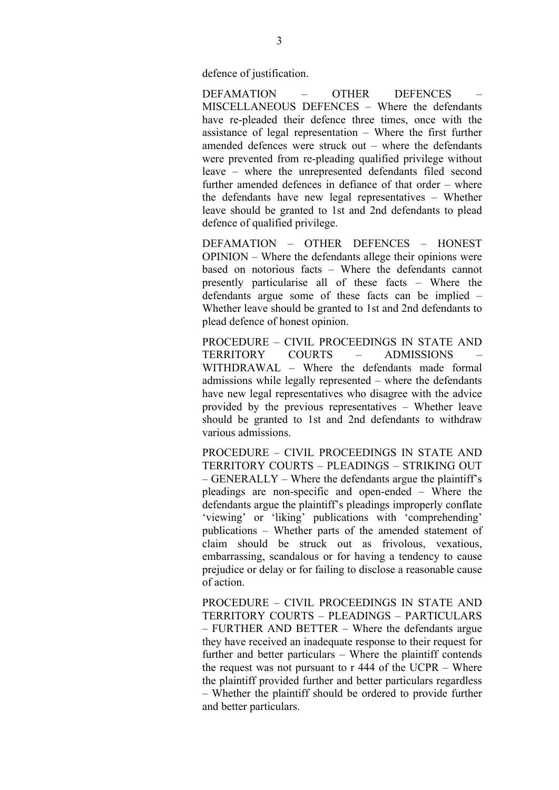defence of justification.

DEFAMATION – OTHER DEFENCES – MISCELLANEOUS DEFENCES – Where the defendants have re-pleaded their defence three times, once with the assistance of legal representation – Where the first further amended defences were struck out – where the defendants were prevented from re-pleading qualified privilege without leave – where the unrepresented defendants filed second further amended defences in defiance of that order – where the defendants have new legal representatives – Whether leave should be granted to 1st and 2nd defendants to plead defence of qualified privilege.

DEFAMATION – OTHER DEFENCES – HONEST OPINION – Where the defendants allege their opinions were based on notorious facts – Where the defendants cannot presently particularise all of these facts – Where the defendants argue some of these facts can be implied – Whether leave should be granted to 1st and 2nd defendants to plead defence of honest opinion.

PROCEDURE – CIVIL PROCEEDINGS IN STATE AND TERRITORY COURTS – ADMISSIONS – WITHDRAWAL – Where the defendants made formal admissions while legally represented – where the defendants have new legal representatives who disagree with the advice provided by the previous representatives – Whether leave should be granted to 1st and 2nd defendants to withdraw various admissions.

PROCEDURE – CIVIL PROCEEDINGS IN STATE AND TERRITORY COURTS – PLEADINGS – STRIKING OUT  $-$  GENERALLY – Where the defendants argue the plaintiff's pleadings are non-specific and open-ended – Where the defendants argue the plaintiff's pleadings improperly conflate 'viewing' or 'liking' publications with 'comprehending' publications – Whether parts of the amended statement of claim should be struck out as frivolous, vexatious, embarrassing, scandalous or for having a tendency to cause prejudice or delay or for failing to disclose a reasonable cause of action.

PROCEDURE – CIVIL PROCEEDINGS IN STATE AND TERRITORY COURTS – PLEADINGS – PARTICULARS – FURTHER AND BETTER – Where the defendants argue they have received an inadequate response to their request for further and better particulars – Where the plaintiff contends the request was not pursuant to r 444 of the UCPR – Where the plaintiff provided further and better particulars regardless – Whether the plaintiff should be ordered to provide further and better particulars.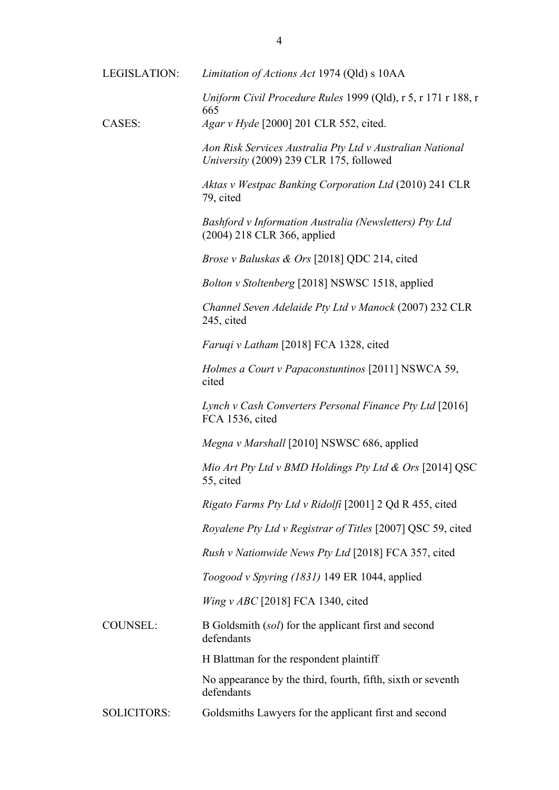| LEGISLATION:       | Limitation of Actions Act 1974 (Qld) s 10AA                                                          |
|--------------------|------------------------------------------------------------------------------------------------------|
|                    | Uniform Civil Procedure Rules 1999 (Qld), r 5, r 171 r 188, r                                        |
| CASES:             | 665<br>Agar v Hyde [2000] 201 CLR 552, cited.                                                        |
|                    | Aon Risk Services Australia Pty Ltd v Australian National<br>University (2009) 239 CLR 175, followed |
|                    | Aktas v Westpac Banking Corporation Ltd (2010) 241 CLR<br>79, cited                                  |
|                    | Bashford v Information Australia (Newsletters) Pty Ltd<br>$(2004)$ 218 CLR 366, applied              |
|                    | <i>Brose v Baluskas &amp; Ors</i> [2018] QDC 214, cited                                              |
|                    | Bolton v Stoltenberg [2018] NSWSC 1518, applied                                                      |
|                    | Channel Seven Adelaide Pty Ltd v Manock (2007) 232 CLR<br>245, cited                                 |
|                    | Faruqi v Latham [2018] FCA 1328, cited                                                               |
|                    | Holmes a Court v Papaconstuntinos [2011] NSWCA 59,<br>cited                                          |
|                    | Lynch v Cash Converters Personal Finance Pty Ltd [2016]<br>FCA 1536, cited                           |
|                    | Megna v Marshall [2010] NSWSC 686, applied                                                           |
|                    | Mio Art Pty Ltd v BMD Holdings Pty Ltd & Ors [2014] QSC<br>55, cited                                 |
|                    | Rigato Farms Pty Ltd v Ridolfi [2001] 2 Qd R 455, cited                                              |
|                    | Royalene Pty Ltd v Registrar of Titles [2007] QSC 59, cited                                          |
|                    | <i>Rush v Nationwide News Pty Ltd</i> [2018] FCA 357, cited                                          |
|                    | Toogood v Spyring (1831) 149 ER 1044, applied                                                        |
|                    | <i>Wing v ABC</i> [2018] FCA 1340, cited                                                             |
| <b>COUNSEL:</b>    | B Goldsmith (sol) for the applicant first and second<br>defendants                                   |
|                    | H Blattman for the respondent plaintiff                                                              |
|                    | No appearance by the third, fourth, fifth, sixth or seventh<br>defendants                            |
| <b>SOLICITORS:</b> | Goldsmiths Lawyers for the applicant first and second                                                |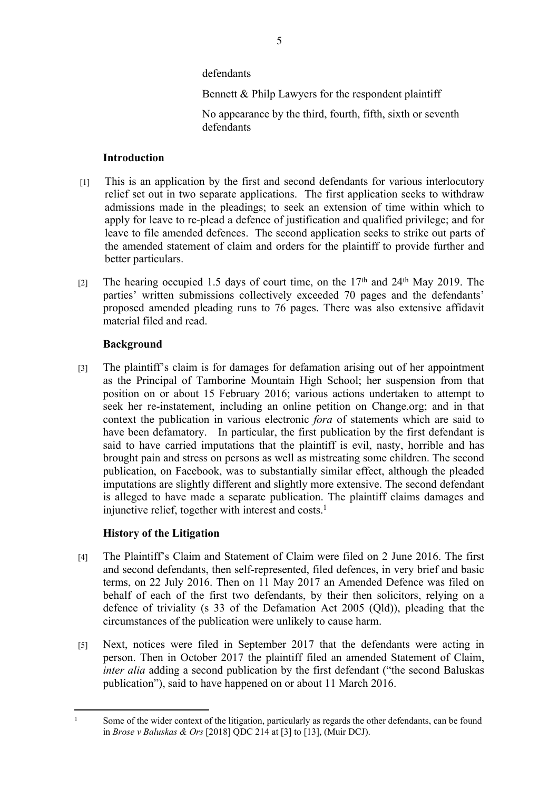defendants

Bennett & Philp Lawyers for the respondent plaintiff

No appearance by the third, fourth, fifth, sixth or seventh defendants

## **Introduction**

- [1] This is an application by the first and second defendants for various interlocutory relief set out in two separate applications. The first application seeks to withdraw admissions made in the pleadings; to seek an extension of time within which to apply for leave to re-plead a defence of justification and qualified privilege; and for leave to file amended defences. The second application seeks to strike out parts of the amended statement of claim and orders for the plaintiff to provide further and better particulars.
- [2] The hearing occupied 1.5 days of court time, on the 17<sup>th</sup> and 24<sup>th</sup> May 2019. The parties' written submissions collectively exceeded 70 pages and the defendants' proposed amended pleading runs to 76 pages. There was also extensive affidavit material filed and read.

## **Background**

[3] The plaintiff's claim is for damages for defamation arising out of her appointment as the Principal of Tamborine Mountain High School; her suspension from that position on or about 15 February 2016; various actions undertaken to attempt to seek her re-instatement, including an online petition on Change.org; and in that context the publication in various electronic *fora* of statements which are said to have been defamatory. In particular, the first publication by the first defendant is said to have carried imputations that the plaintiff is evil, nasty, horrible and has brought pain and stress on persons as well as mistreating some children. The second publication, on Facebook, was to substantially similar effect, although the pleaded imputations are slightly different and slightly more extensive. The second defendant is alleged to have made a separate publication. The plaintiff claims damages and injunctive relief, together with interest and costs.<sup>1</sup>

# **History of the Litigation**

- [4] The Plaintiff's Claim and Statement of Claim were filed on 2 June 2016. The first and second defendants, then self-represented, filed defences, in very brief and basic terms, on 22 July 2016. Then on 11 May 2017 an Amended Defence was filed on behalf of each of the first two defendants, by their then solicitors, relying on a defence of triviality (s 33 of the Defamation Act 2005 (Qld)), pleading that the circumstances of the publication were unlikely to cause harm.
- [5] Next, notices were filed in September 2017 that the defendants were acting in person. Then in October 2017 the plaintiff filed an amended Statement of Claim, *inter alia* adding a second publication by the first defendant ("the second Baluskas") publication"), said to have happened on or about 11 March 2016.

<sup>1</sup> Some of the wider context of the litigation, particularly as regards the other defendants, can be found in *Brose v Baluskas & Ors* [2018] QDC 214 at [3] to [13], (Muir DCJ).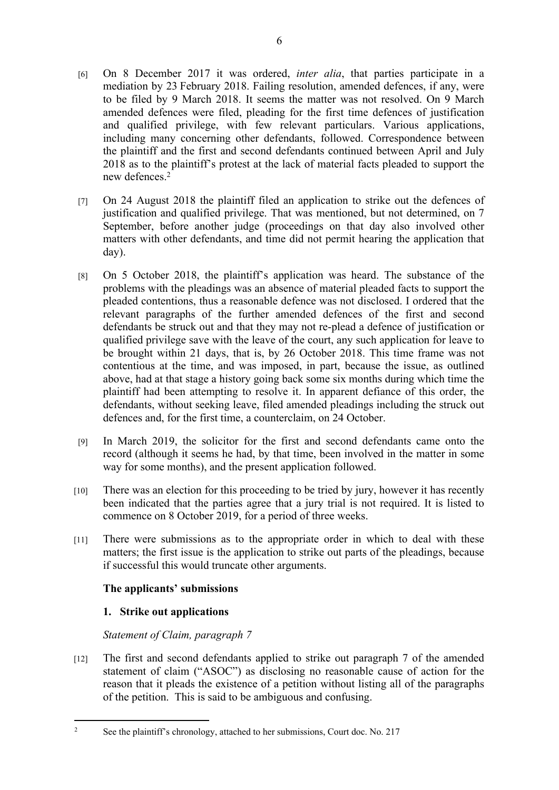- [6] On 8 December 2017 it was ordered, *inter alia*, that parties participate in a mediation by 23 February 2018. Failing resolution, amended defences, if any, were to be filed by 9 March 2018. It seems the matter was not resolved. On 9 March amended defences were filed, pleading for the first time defences of justification and qualified privilege, with few relevant particulars. Various applications, including many concerning other defendants, followed. Correspondence between the plaintiff and the first and second defendants continued between April and July 2018 as to the plaintiff's protest at the lack of material facts pleaded to support the new defences<sup>2</sup>
- [7] On 24 August 2018 the plaintiff filed an application to strike out the defences of justification and qualified privilege. That was mentioned, but not determined, on 7 September, before another judge (proceedings on that day also involved other matters with other defendants, and time did not permit hearing the application that day).
- [8] On 5 October 2018, the plaintiff's application was heard. The substance of the problems with the pleadings was an absence of material pleaded facts to support the pleaded contentions, thus a reasonable defence was not disclosed. I ordered that the relevant paragraphs of the further amended defences of the first and second defendants be struck out and that they may not re-plead a defence of justification or qualified privilege save with the leave of the court, any such application for leave to be brought within 21 days, that is, by 26 October 2018. This time frame was not contentious at the time, and was imposed, in part, because the issue, as outlined above, had at that stage a history going back some six months during which time the plaintiff had been attempting to resolve it. In apparent defiance of this order, the defendants, without seeking leave, filed amended pleadings including the struck out defences and, for the first time, a counterclaim, on 24 October.
- [9] In March 2019, the solicitor for the first and second defendants came onto the record (although it seems he had, by that time, been involved in the matter in some way for some months), and the present application followed.
- [10] There was an election for this proceeding to be tried by jury, however it has recently been indicated that the parties agree that a jury trial is not required. It is listed to commence on 8 October 2019, for a period of three weeks.
- [11] There were submissions as to the appropriate order in which to deal with these matters; the first issue is the application to strike out parts of the pleadings, because if successful this would truncate other arguments.

# **The applicants' submissions**

# **1. Strike out applications**

## *Statement of Claim, paragraph 7*

[12] The first and second defendants applied to strike out paragraph 7 of the amended statement of claim ("ASOC") as disclosing no reasonable cause of action for the reason that it pleads the existence of a petition without listing all of the paragraphs of the petition. This is said to be ambiguous and confusing.

<sup>2</sup> See the plaintiff's chronology, attached to her submissions, Court doc. No. 217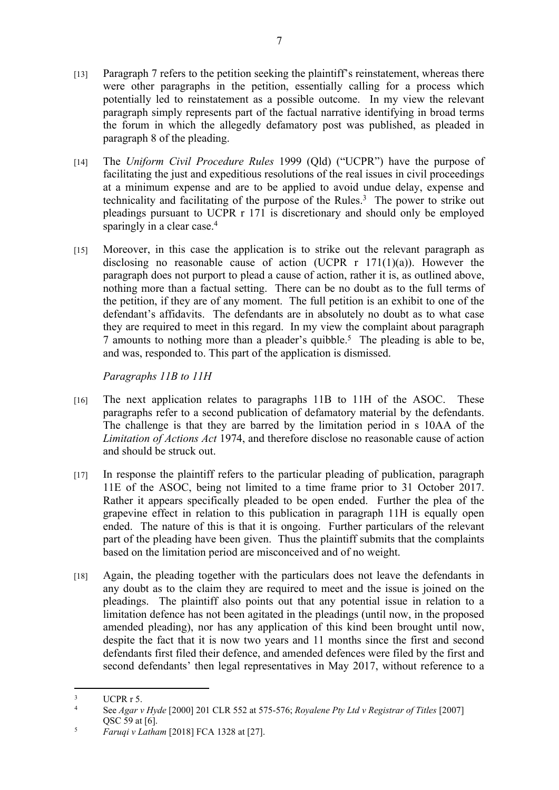- [13] Paragraph 7 refers to the petition seeking the plaintiff's reinstatement, whereas there were other paragraphs in the petition, essentially calling for a process which potentially led to reinstatement as a possible outcome. In my view the relevant paragraph simply represents part of the factual narrative identifying in broad terms the forum in which the allegedly defamatory post was published, as pleaded in paragraph 8 of the pleading.
- [14] The *Uniform Civil Procedure Rules* 1999 (Qld) ("UCPR") have the purpose of facilitating the just and expeditious resolutions of the real issues in civil proceedings at a minimum expense and are to be applied to avoid undue delay, expense and technicality and facilitating of the purpose of the Rules. $3$  The power to strike out pleadings pursuant to UCPR r 171 is discretionary and should only be employed sparingly in a clear case.<sup>4</sup>
- [15] Moreover, in this case the application is to strike out the relevant paragraph as disclosing no reasonable cause of action (UCPR  $r$  171(1)(a)). However the paragraph does not purport to plead a cause of action, rather it is, as outlined above, nothing more than a factual setting. There can be no doubt as to the full terms of the petition, if they are of any moment. The full petition is an exhibit to one of the defendant's affidavits. The defendants are in absolutely no doubt as to what case they are required to meet in this regard. In my view the complaint about paragraph 7 amounts to nothing more than a pleader's quibble.<sup>5</sup> The pleading is able to be, and was, responded to. This part of the application is dismissed.

*Paragraphs 11B to 11H* 

- [16] The next application relates to paragraphs 11B to 11H of the ASOC. These paragraphs refer to a second publication of defamatory material by the defendants. The challenge is that they are barred by the limitation period in s 10AA of the *Limitation of Actions Act* 1974, and therefore disclose no reasonable cause of action and should be struck out.
- [17] In response the plaintiff refers to the particular pleading of publication, paragraph 11E of the ASOC, being not limited to a time frame prior to 31 October 2017. Rather it appears specifically pleaded to be open ended. Further the plea of the grapevine effect in relation to this publication in paragraph 11H is equally open ended. The nature of this is that it is ongoing. Further particulars of the relevant part of the pleading have been given. Thus the plaintiff submits that the complaints based on the limitation period are misconceived and of no weight.
- [18] Again, the pleading together with the particulars does not leave the defendants in any doubt as to the claim they are required to meet and the issue is joined on the pleadings. The plaintiff also points out that any potential issue in relation to a limitation defence has not been agitated in the pleadings (until now, in the proposed amended pleading), nor has any application of this kind been brought until now, despite the fact that it is now two years and 11 months since the first and second defendants first filed their defence, and amended defences were filed by the first and second defendants' then legal representatives in May 2017, without reference to a

<sup>3</sup> UCPR r 5.

<sup>4</sup> See *Agar v Hyde* [2000] 201 CLR 552 at 575-576; *Royalene Pty Ltd v Registrar of Titles* [2007] QSC 59 at [6].

<sup>5</sup> *Faruqi v Latham* [2018] FCA 1328 at [27].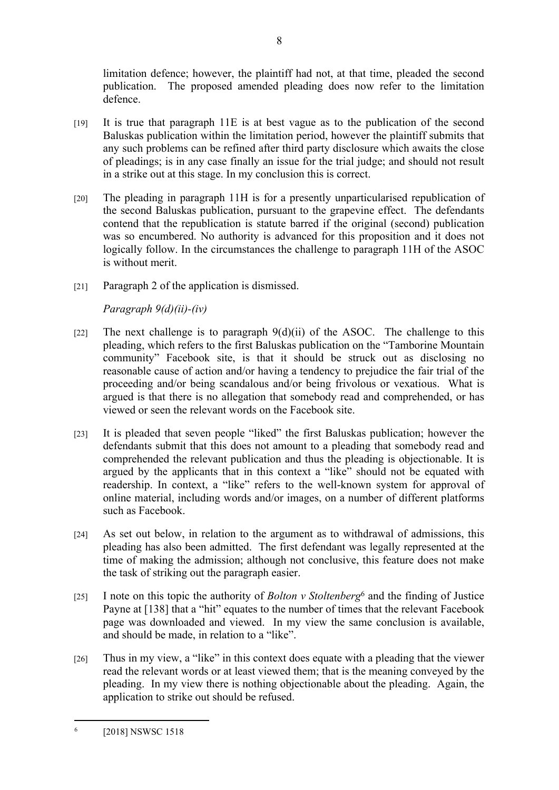limitation defence; however, the plaintiff had not, at that time, pleaded the second publication. The proposed amended pleading does now refer to the limitation defence.

- [19] It is true that paragraph 11E is at best vague as to the publication of the second Baluskas publication within the limitation period, however the plaintiff submits that any such problems can be refined after third party disclosure which awaits the close of pleadings; is in any case finally an issue for the trial judge; and should not result in a strike out at this stage. In my conclusion this is correct.
- [20] The pleading in paragraph 11H is for a presently unparticularised republication of the second Baluskas publication, pursuant to the grapevine effect. The defendants contend that the republication is statute barred if the original (second) publication was so encumbered. No authority is advanced for this proposition and it does not logically follow. In the circumstances the challenge to paragraph 11H of the ASOC is without merit.
- [21] Paragraph 2 of the application is dismissed.

*Paragraph 9(d)(ii)-(iv)* 

- [22] The next challenge is to paragraph  $9(d)(ii)$  of the ASOC. The challenge to this pleading, which refers to the first Baluskas publication on the "Tamborine Mountain community" Facebook site, is that it should be struck out as disclosing no reasonable cause of action and/or having a tendency to prejudice the fair trial of the proceeding and/or being scandalous and/or being frivolous or vexatious. What is argued is that there is no allegation that somebody read and comprehended, or has viewed or seen the relevant words on the Facebook site.
- [23] It is pleaded that seven people "liked" the first Baluskas publication; however the defendants submit that this does not amount to a pleading that somebody read and comprehended the relevant publication and thus the pleading is objectionable. It is argued by the applicants that in this context a "like" should not be equated with readership. In context, a "like" refers to the well-known system for approval of online material, including words and/or images, on a number of different platforms such as Facebook.
- [24] As set out below, in relation to the argument as to withdrawal of admissions, this pleading has also been admitted. The first defendant was legally represented at the time of making the admission; although not conclusive, this feature does not make the task of striking out the paragraph easier.
- [25] I note on this topic the authority of *Bolton v Stoltenberg*<sup>6</sup> and the finding of Justice Payne at [138] that a "hit" equates to the number of times that the relevant Facebook page was downloaded and viewed. In my view the same conclusion is available, and should be made, in relation to a "like".
- [26] Thus in my view, a "like" in this context does equate with a pleading that the viewer read the relevant words or at least viewed them; that is the meaning conveyed by the pleading. In my view there is nothing objectionable about the pleading. Again, the application to strike out should be refused.

<sup>6</sup> [2018] NSWSC 1518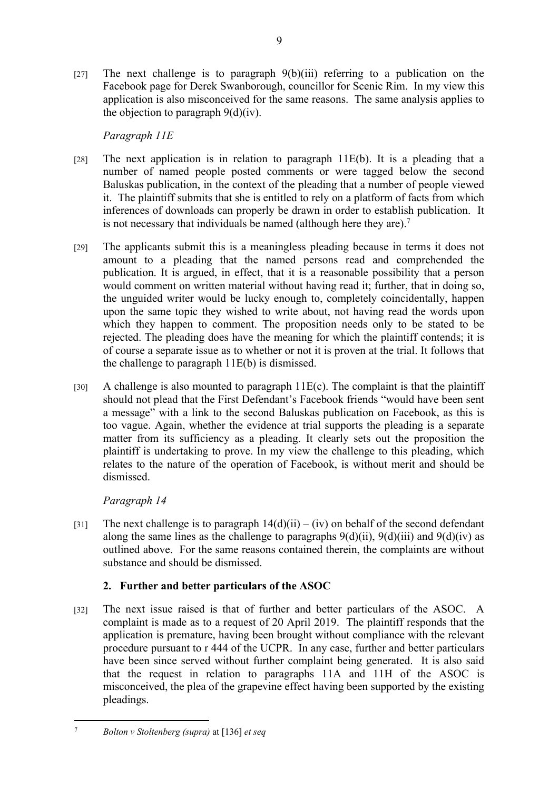[27] The next challenge is to paragraph  $9(b)(iii)$  referring to a publication on the Facebook page for Derek Swanborough, councillor for Scenic Rim. In my view this application is also misconceived for the same reasons. The same analysis applies to the objection to paragraph  $9(d)(iv)$ .

9

# *Paragraph 11E*

- [28] The next application is in relation to paragraph  $11E(b)$ . It is a pleading that a number of named people posted comments or were tagged below the second Baluskas publication, in the context of the pleading that a number of people viewed it. The plaintiff submits that she is entitled to rely on a platform of facts from which inferences of downloads can properly be drawn in order to establish publication. It is not necessary that individuals be named (although here they are).<sup>7</sup>
- [29] The applicants submit this is a meaningless pleading because in terms it does not amount to a pleading that the named persons read and comprehended the publication. It is argued, in effect, that it is a reasonable possibility that a person would comment on written material without having read it; further, that in doing so, the unguided writer would be lucky enough to, completely coincidentally, happen upon the same topic they wished to write about, not having read the words upon which they happen to comment. The proposition needs only to be stated to be rejected. The pleading does have the meaning for which the plaintiff contends; it is of course a separate issue as to whether or not it is proven at the trial. It follows that the challenge to paragraph 11E(b) is dismissed.
- [30] A challenge is also mounted to paragraph  $11E(c)$ . The complaint is that the plaintiff should not plead that the First Defendant's Facebook friends "would have been sent a message" with a link to the second Baluskas publication on Facebook, as this is too vague. Again, whether the evidence at trial supports the pleading is a separate matter from its sufficiency as a pleading. It clearly sets out the proposition the plaintiff is undertaking to prove. In my view the challenge to this pleading, which relates to the nature of the operation of Facebook, is without merit and should be dismissed.

# *Paragraph 14*

[31] The next challenge is to paragraph  $14(d)(ii) - (iv)$  on behalf of the second defendant along the same lines as the challenge to paragraphs  $9(d)(ii)$ ,  $9(d)(iii)$  and  $9(d)(iv)$  as outlined above. For the same reasons contained therein, the complaints are without substance and should be dismissed.

# **2. Further and better particulars of the ASOC**

[32] The next issue raised is that of further and better particulars of the ASOC. A complaint is made as to a request of 20 April 2019. The plaintiff responds that the application is premature, having been brought without compliance with the relevant procedure pursuant to r 444 of the UCPR. In any case, further and better particulars have been since served without further complaint being generated. It is also said that the request in relation to paragraphs 11A and 11H of the ASOC is misconceived, the plea of the grapevine effect having been supported by the existing pleadings.

<sup>7</sup> *Bolton v Stoltenberg (supra)* at [136] *et seq*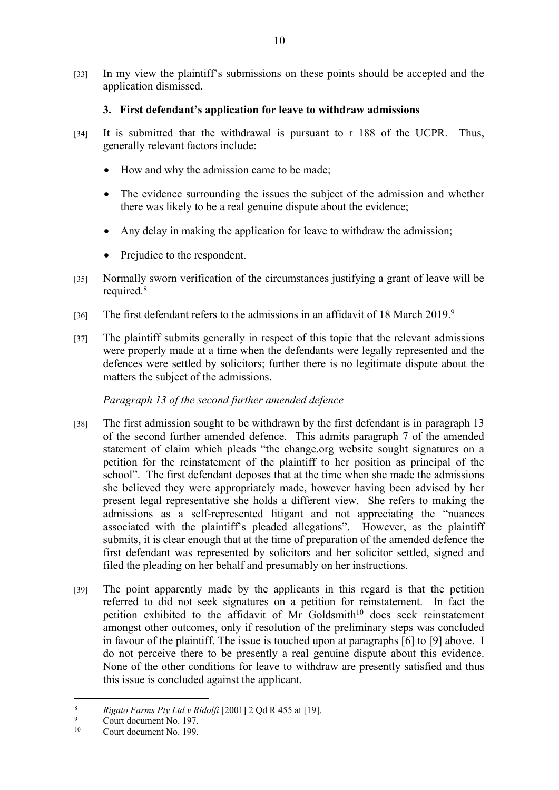[33] In my view the plaintiff's submissions on these points should be accepted and the application dismissed.

## **3. First defendant's application for leave to withdraw admissions**

- [34] It is submitted that the withdrawal is pursuant to r 188 of the UCPR. Thus, generally relevant factors include:
	- How and why the admission came to be made;
	- The evidence surrounding the issues the subject of the admission and whether there was likely to be a real genuine dispute about the evidence;
	- Any delay in making the application for leave to withdraw the admission;
	- Prejudice to the respondent.
- [35] Normally sworn verification of the circumstances justifying a grant of leave will be required.<sup>8</sup>
- [36] The first defendant refers to the admissions in an affidavit of 18 March 2019.<sup>9</sup>
- [37] The plaintiff submits generally in respect of this topic that the relevant admissions were properly made at a time when the defendants were legally represented and the defences were settled by solicitors; further there is no legitimate dispute about the matters the subject of the admissions.

## *Paragraph 13 of the second further amended defence*

- [38] The first admission sought to be withdrawn by the first defendant is in paragraph 13 of the second further amended defence. This admits paragraph 7 of the amended statement of claim which pleads "the change.org website sought signatures on a petition for the reinstatement of the plaintiff to her position as principal of the school". The first defendant deposes that at the time when she made the admissions she believed they were appropriately made, however having been advised by her present legal representative she holds a different view. She refers to making the admissions as a self-represented litigant and not appreciating the "nuances associated with the plaintiff's pleaded allegations". However, as the plaintiff submits, it is clear enough that at the time of preparation of the amended defence the first defendant was represented by solicitors and her solicitor settled, signed and filed the pleading on her behalf and presumably on her instructions.
- [39] The point apparently made by the applicants in this regard is that the petition referred to did not seek signatures on a petition for reinstatement. In fact the petition exhibited to the affidavit of Mr Goldsmith<sup>10</sup> does seek reinstatement amongst other outcomes, only if resolution of the preliminary steps was concluded in favour of the plaintiff. The issue is touched upon at paragraphs [6] to [9] above. I do not perceive there to be presently a real genuine dispute about this evidence. None of the other conditions for leave to withdraw are presently satisfied and thus this issue is concluded against the applicant.

<sup>8</sup> *Rigato Farms Pty Ltd v Ridolfi* [2001] 2 Qd R 455 at [19].

<sup>9</sup>  $^{9}$  Court document No. 197.

Court document No. 199.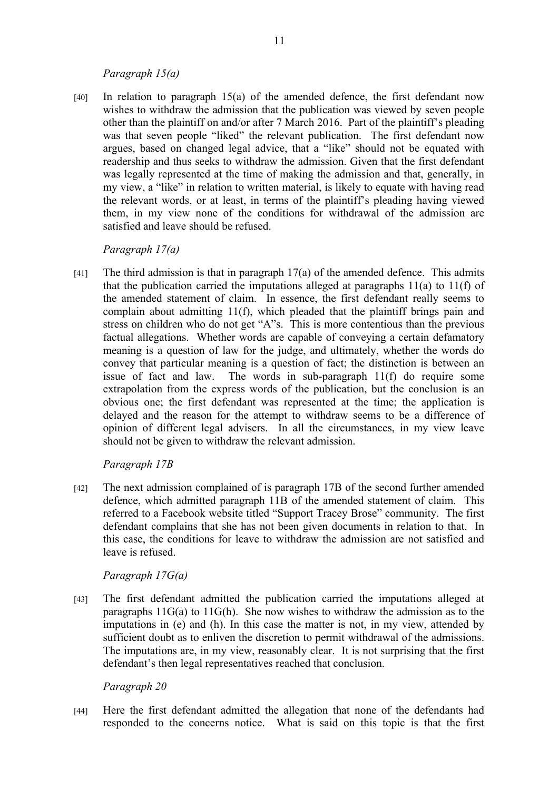#### *Paragraph 15(a)*

[40] In relation to paragraph 15(a) of the amended defence, the first defendant now wishes to withdraw the admission that the publication was viewed by seven people other than the plaintiff on and/or after 7 March 2016. Part of the plaintiff's pleading was that seven people "liked" the relevant publication. The first defendant now argues, based on changed legal advice, that a "like" should not be equated with readership and thus seeks to withdraw the admission. Given that the first defendant was legally represented at the time of making the admission and that, generally, in my view, a "like" in relation to written material, is likely to equate with having read the relevant words, or at least, in terms of the plaintiff's pleading having viewed them, in my view none of the conditions for withdrawal of the admission are satisfied and leave should be refused.

#### *Paragraph 17(a)*

[41] The third admission is that in paragraph 17(a) of the amended defence. This admits that the publication carried the imputations alleged at paragraphs  $11(a)$  to  $11(f)$  of the amended statement of claim. In essence, the first defendant really seems to complain about admitting 11(f), which pleaded that the plaintiff brings pain and stress on children who do not get "A"s. This is more contentious than the previous factual allegations. Whether words are capable of conveying a certain defamatory meaning is a question of law for the judge, and ultimately, whether the words do convey that particular meaning is a question of fact; the distinction is between an issue of fact and law. The words in sub-paragraph 11(f) do require some extrapolation from the express words of the publication, but the conclusion is an obvious one; the first defendant was represented at the time; the application is delayed and the reason for the attempt to withdraw seems to be a difference of opinion of different legal advisers. In all the circumstances, in my view leave should not be given to withdraw the relevant admission.

#### *Paragraph 17B*

[42] The next admission complained of is paragraph 17B of the second further amended defence, which admitted paragraph 11B of the amended statement of claim. This referred to a Facebook website titled "Support Tracey Brose" community. The first defendant complains that she has not been given documents in relation to that. In this case, the conditions for leave to withdraw the admission are not satisfied and leave is refused.

#### *Paragraph 17G(a)*

[43] The first defendant admitted the publication carried the imputations alleged at paragraphs 11G(a) to 11G(h). She now wishes to withdraw the admission as to the imputations in (e) and (h). In this case the matter is not, in my view, attended by sufficient doubt as to enliven the discretion to permit withdrawal of the admissions. The imputations are, in my view, reasonably clear. It is not surprising that the first defendant's then legal representatives reached that conclusion.

#### *Paragraph 20*

[44] Here the first defendant admitted the allegation that none of the defendants had responded to the concerns notice. What is said on this topic is that the first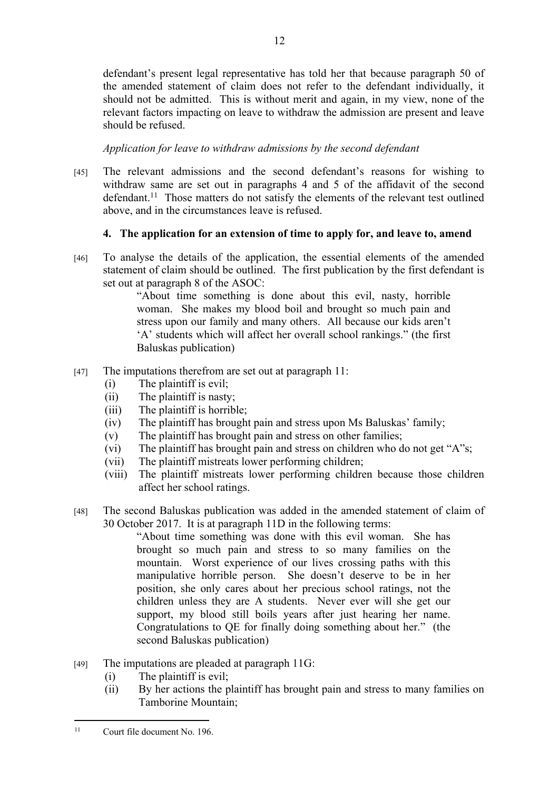defendant's present legal representative has told her that because paragraph 50 of the amended statement of claim does not refer to the defendant individually, it should not be admitted. This is without merit and again, in my view, none of the relevant factors impacting on leave to withdraw the admission are present and leave should be refused.

# *Application for leave to withdraw admissions by the second defendant*

[45] The relevant admissions and the second defendant's reasons for wishing to withdraw same are set out in paragraphs 4 and 5 of the affidavit of the second defendant.<sup>11</sup> Those matters do not satisfy the elements of the relevant test outlined above, and in the circumstances leave is refused.

# **4. The application for an extension of time to apply for, and leave to, amend**

[46] To analyse the details of the application, the essential elements of the amended statement of claim should be outlined. The first publication by the first defendant is set out at paragraph 8 of the ASOC:

"About time something is done about this evil, nasty, horrible woman. She makes my blood boil and brought so much pain and stress upon our family and many others. All because our kids aren't 'A' students which will affect her overall school rankings." (the first Baluskas publication)

- [47] The imputations therefrom are set out at paragraph 11:
	- (i) The plaintiff is evil;
	- (ii) The plaintiff is nasty;
	- (iii) The plaintiff is horrible;
	- (iv) The plaintiff has brought pain and stress upon Ms Baluskas' family;
	- (v) The plaintiff has brought pain and stress on other families;
	- (vi) The plaintiff has brought pain and stress on children who do not get "A"s;
	- (vii) The plaintiff mistreats lower performing children;
	- (viii) The plaintiff mistreats lower performing children because those children affect her school ratings.
- [48] The second Baluskas publication was added in the amended statement of claim of 30 October 2017. It is at paragraph 11D in the following terms:

"About time something was done with this evil woman. She has brought so much pain and stress to so many families on the mountain. Worst experience of our lives crossing paths with this manipulative horrible person. She doesn't deserve to be in her position, she only cares about her precious school ratings, not the children unless they are A students. Never ever will she get our support, my blood still boils years after just hearing her name. Congratulations to QE for finally doing something about her." (the second Baluskas publication)

- $[49]$  The imputations are pleaded at paragraph 11G:
	- (i) The plaintiff is evil;
	- (ii) By her actions the plaintiff has brought pain and stress to many families on Tamborine Mountain;

<sup>11</sup> Court file document No. 196.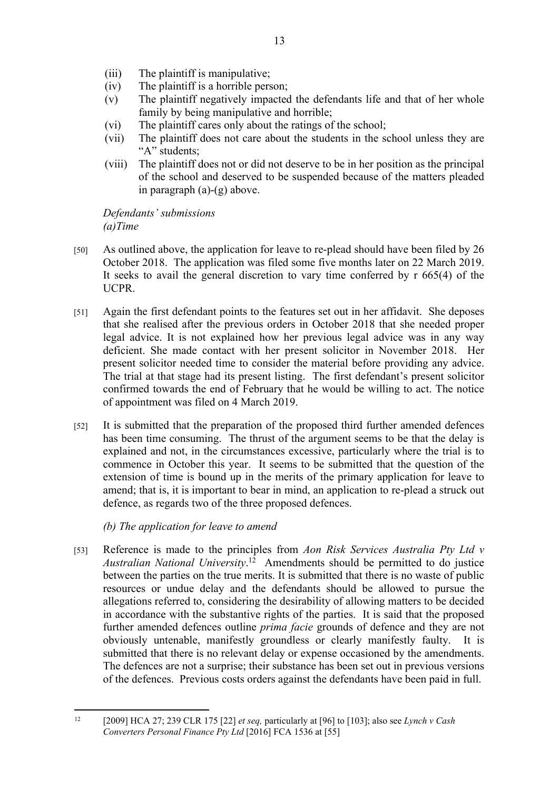- (iii) The plaintiff is manipulative;
- (iv) The plaintiff is a horrible person;
- (v) The plaintiff negatively impacted the defendants life and that of her whole family by being manipulative and horrible;
- (vi) The plaintiff cares only about the ratings of the school;
- (vii) The plaintiff does not care about the students in the school unless they are "A" students:
- (viii) The plaintiff does not or did not deserve to be in her position as the principal of the school and deserved to be suspended because of the matters pleaded in paragraph (a)-(g) above.

*Defendants' submissions (a)Time*

- [50] As outlined above, the application for leave to re-plead should have been filed by 26 October 2018. The application was filed some five months later on 22 March 2019. It seeks to avail the general discretion to vary time conferred by r 665(4) of the UCPR.
- [51] Again the first defendant points to the features set out in her affidavit. She deposes that she realised after the previous orders in October 2018 that she needed proper legal advice. It is not explained how her previous legal advice was in any way deficient. She made contact with her present solicitor in November 2018. Her present solicitor needed time to consider the material before providing any advice. The trial at that stage had its present listing. The first defendant's present solicitor confirmed towards the end of February that he would be willing to act. The notice of appointment was filed on 4 March 2019.
- [52] It is submitted that the preparation of the proposed third further amended defences has been time consuming. The thrust of the argument seems to be that the delay is explained and not, in the circumstances excessive, particularly where the trial is to commence in October this year. It seems to be submitted that the question of the extension of time is bound up in the merits of the primary application for leave to amend; that is, it is important to bear in mind, an application to re-plead a struck out defence, as regards two of the three proposed defences.

*(b) The application for leave to amend*

[53] Reference is made to the principles from *Aon Risk Services Australia Pty Ltd v Australian National University*. <sup>12</sup> Amendments should be permitted to do justice between the parties on the true merits. It is submitted that there is no waste of public resources or undue delay and the defendants should be allowed to pursue the allegations referred to, considering the desirability of allowing matters to be decided in accordance with the substantive rights of the parties. It is said that the proposed further amended defences outline *prima facie* grounds of defence and they are not obviously untenable, manifestly groundless or clearly manifestly faulty. It is submitted that there is no relevant delay or expense occasioned by the amendments. The defences are not a surprise; their substance has been set out in previous versions of the defences. Previous costs orders against the defendants have been paid in full.

<sup>12</sup> [2009] HCA 27; 239 CLR 175 [22] *et seq,* particularly at [96] to [103]; also see *Lynch v Cash Converters Personal Finance Pty Ltd* [2016] FCA 1536 at [55]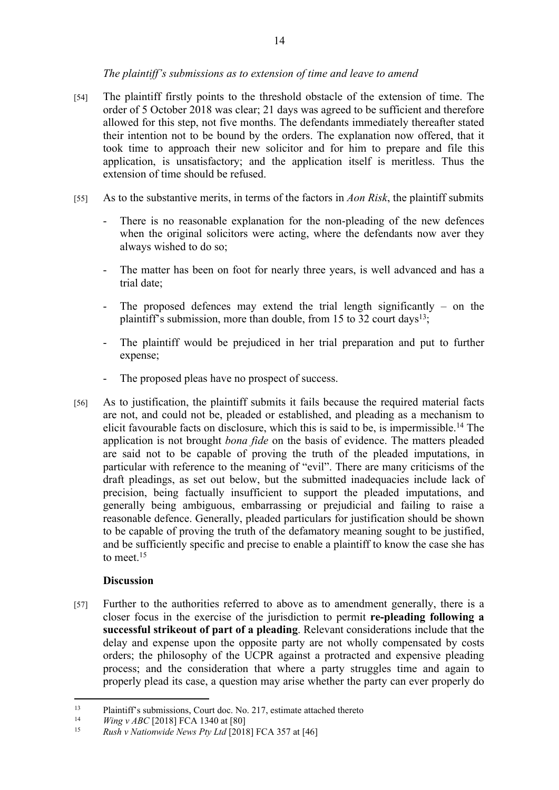## *The plaintiff's submissions as to extension of time and leave to amend*

- [54] The plaintiff firstly points to the threshold obstacle of the extension of time. The order of 5 October 2018 was clear; 21 days was agreed to be sufficient and therefore allowed for this step, not five months. The defendants immediately thereafter stated their intention not to be bound by the orders. The explanation now offered, that it took time to approach their new solicitor and for him to prepare and file this application, is unsatisfactory; and the application itself is meritless. Thus the extension of time should be refused.
- [55] As to the substantive merits, in terms of the factors in *Aon Risk*, the plaintiff submits
	- There is no reasonable explanation for the non-pleading of the new defences when the original solicitors were acting, where the defendants now aver they always wished to do so;
	- The matter has been on foot for nearly three years, is well advanced and has a trial date;
	- The proposed defences may extend the trial length significantly on the plaintiff's submission, more than double, from 15 to 32 court days<sup>13</sup>;
	- The plaintiff would be prejudiced in her trial preparation and put to further expense;
	- The proposed pleas have no prospect of success.
- [56] As to justification, the plaintiff submits it fails because the required material facts are not, and could not be, pleaded or established, and pleading as a mechanism to elicit favourable facts on disclosure, which this is said to be, is impermissible.<sup>14</sup> The application is not brought *bona fide* on the basis of evidence. The matters pleaded are said not to be capable of proving the truth of the pleaded imputations, in particular with reference to the meaning of "evil". There are many criticisms of the draft pleadings, as set out below, but the submitted inadequacies include lack of precision, being factually insufficient to support the pleaded imputations, and generally being ambiguous, embarrassing or prejudicial and failing to raise a reasonable defence. Generally, pleaded particulars for justification should be shown to be capable of proving the truth of the defamatory meaning sought to be justified, and be sufficiently specific and precise to enable a plaintiff to know the case she has to meet.<sup>15</sup>

#### **Discussion**

[57] Further to the authorities referred to above as to amendment generally, there is a closer focus in the exercise of the jurisdiction to permit **re-pleading following a successful strikeout of part of a pleading**. Relevant considerations include that the delay and expense upon the opposite party are not wholly compensated by costs orders; the philosophy of the UCPR against a protracted and expensive pleading process; and the consideration that where a party struggles time and again to properly plead its case, a question may arise whether the party can ever properly do

<sup>&</sup>lt;sup>13</sup> Plaintiff's submissions, Court doc. No. 217, estimate attached thereto<br><sup>14</sup> *Wing y APC* [2018] ECA 1340 et [80]

<sup>&</sup>lt;sup>14</sup> *Wing v ABC* [2018] FCA 1340 at [80]

<sup>15</sup> *Rush v Nationwide News Pty Ltd* [2018] FCA 357 at [46]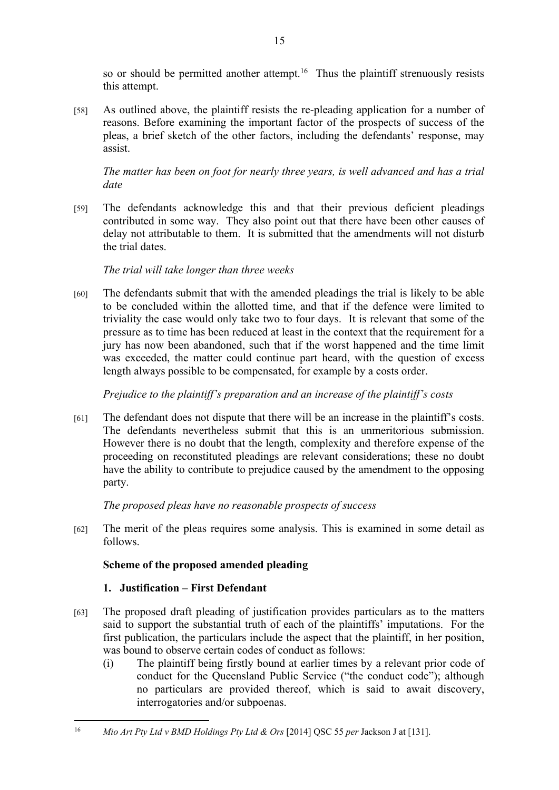so or should be permitted another attempt.<sup>16</sup> Thus the plaintiff strenuously resists this attempt.

[58] As outlined above, the plaintiff resists the re-pleading application for a number of reasons. Before examining the important factor of the prospects of success of the pleas, a brief sketch of the other factors, including the defendants' response, may assist.

*The matter has been on foot for nearly three years, is well advanced and has a trial date*

[59] The defendants acknowledge this and that their previous deficient pleadings contributed in some way. They also point out that there have been other causes of delay not attributable to them. It is submitted that the amendments will not disturb the trial dates.

## *The trial will take longer than three weeks*

[60] The defendants submit that with the amended pleadings the trial is likely to be able to be concluded within the allotted time, and that if the defence were limited to triviality the case would only take two to four days. It is relevant that some of the pressure as to time has been reduced at least in the context that the requirement for a jury has now been abandoned, such that if the worst happened and the time limit was exceeded, the matter could continue part heard, with the question of excess length always possible to be compensated, for example by a costs order.

*Prejudice to the plaintiff's preparation and an increase of the plaintiff's costs*

[61] The defendant does not dispute that there will be an increase in the plaintiff's costs. The defendants nevertheless submit that this is an unmeritorious submission. However there is no doubt that the length, complexity and therefore expense of the proceeding on reconstituted pleadings are relevant considerations; these no doubt have the ability to contribute to prejudice caused by the amendment to the opposing party.

*The proposed pleas have no reasonable prospects of success*

[62] The merit of the pleas requires some analysis. This is examined in some detail as follows.

# **Scheme of the proposed amended pleading**

# **1. Justification – First Defendant**

- [63] The proposed draft pleading of justification provides particulars as to the matters said to support the substantial truth of each of the plaintiffs' imputations. For the first publication, the particulars include the aspect that the plaintiff, in her position, was bound to observe certain codes of conduct as follows:
	- (i) The plaintiff being firstly bound at earlier times by a relevant prior code of conduct for the Queensland Public Service ("the conduct code"); although no particulars are provided thereof, which is said to await discovery, interrogatories and/or subpoenas.

<sup>16</sup> *Mio Art Pty Ltd v BMD Holdings Pty Ltd & Ors* [2014] QSC 55 *per* Jackson J at [131].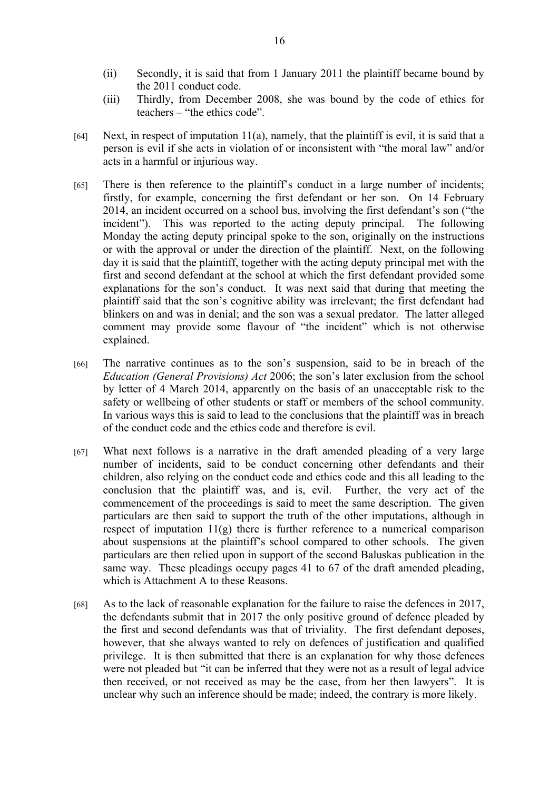- (ii) Secondly, it is said that from 1 January 2011 the plaintiff became bound by the 2011 conduct code.
- (iii) Thirdly, from December 2008, she was bound by the code of ethics for teachers – "the ethics code".
- [64] Next, in respect of imputation  $11(a)$ , namely, that the plaintiff is evil, it is said that a person is evil if she acts in violation of or inconsistent with "the moral law" and/or acts in a harmful or injurious way.
- [65] There is then reference to the plaintiff's conduct in a large number of incidents; firstly, for example, concerning the first defendant or her son. On 14 February 2014, an incident occurred on a school bus, involving the first defendant's son ("the incident"). This was reported to the acting deputy principal. The following Monday the acting deputy principal spoke to the son, originally on the instructions or with the approval or under the direction of the plaintiff. Next, on the following day it is said that the plaintiff, together with the acting deputy principal met with the first and second defendant at the school at which the first defendant provided some explanations for the son's conduct. It was next said that during that meeting the plaintiff said that the son's cognitive ability was irrelevant; the first defendant had blinkers on and was in denial; and the son was a sexual predator. The latter alleged comment may provide some flavour of "the incident" which is not otherwise explained.
- [66] The narrative continues as to the son's suspension, said to be in breach of the *Education (General Provisions) Act* 2006; the son's later exclusion from the school by letter of 4 March 2014, apparently on the basis of an unacceptable risk to the safety or wellbeing of other students or staff or members of the school community. In various ways this is said to lead to the conclusions that the plaintiff was in breach of the conduct code and the ethics code and therefore is evil.
- [67] What next follows is a narrative in the draft amended pleading of a very large number of incidents, said to be conduct concerning other defendants and their children, also relying on the conduct code and ethics code and this all leading to the conclusion that the plaintiff was, and is, evil. Further, the very act of the commencement of the proceedings is said to meet the same description. The given particulars are then said to support the truth of the other imputations, although in respect of imputation 11(g) there is further reference to a numerical comparison about suspensions at the plaintiff's school compared to other schools. The given particulars are then relied upon in support of the second Baluskas publication in the same way. These pleadings occupy pages 41 to 67 of the draft amended pleading, which is Attachment A to these Reasons.
- [68] As to the lack of reasonable explanation for the failure to raise the defences in 2017, the defendants submit that in 2017 the only positive ground of defence pleaded by the first and second defendants was that of triviality. The first defendant deposes, however, that she always wanted to rely on defences of justification and qualified privilege. It is then submitted that there is an explanation for why those defences were not pleaded but "it can be inferred that they were not as a result of legal advice then received, or not received as may be the case, from her then lawyers". It is unclear why such an inference should be made; indeed, the contrary is more likely.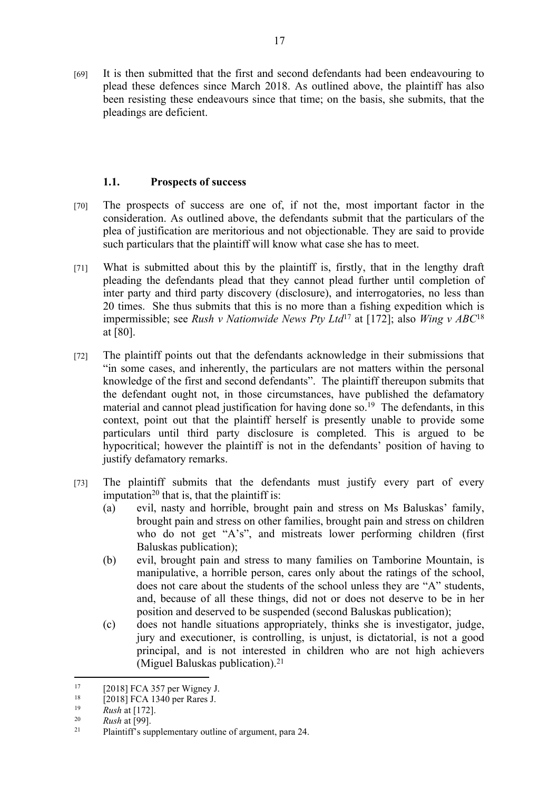[69] It is then submitted that the first and second defendants had been endeavouring to plead these defences since March 2018. As outlined above, the plaintiff has also been resisting these endeavours since that time; on the basis, she submits, that the pleadings are deficient.

## **1.1. Prospects of success**

- [70] The prospects of success are one of, if not the, most important factor in the consideration. As outlined above, the defendants submit that the particulars of the plea of justification are meritorious and not objectionable. They are said to provide such particulars that the plaintiff will know what case she has to meet.
- [71] What is submitted about this by the plaintiff is, firstly, that in the lengthy draft pleading the defendants plead that they cannot plead further until completion of inter party and third party discovery (disclosure), and interrogatories, no less than 20 times. She thus submits that this is no more than a fishing expedition which is impermissible; see *Rush v Nationwide News Pty Ltd*<sup>17</sup> at [172]; also *Wing v ABC*<sup>18</sup> at [80].
- [72] The plaintiff points out that the defendants acknowledge in their submissions that "in some cases, and inherently, the particulars are not matters within the personal knowledge of the first and second defendants". The plaintiff thereupon submits that the defendant ought not, in those circumstances, have published the defamatory material and cannot plead justification for having done so.<sup>19</sup> The defendants, in this context, point out that the plaintiff herself is presently unable to provide some particulars until third party disclosure is completed. This is argued to be hypocritical; however the plaintiff is not in the defendants' position of having to justify defamatory remarks.
- [73] The plaintiff submits that the defendants must justify every part of every imputation<sup>20</sup> that is, that the plaintiff is:
	- (a) evil, nasty and horrible, brought pain and stress on Ms Baluskas' family, brought pain and stress on other families, brought pain and stress on children who do not get "A's", and mistreats lower performing children (first) Baluskas publication);
	- (b) evil, brought pain and stress to many families on Tamborine Mountain, is manipulative, a horrible person, cares only about the ratings of the school, does not care about the students of the school unless they are "A" students, and, because of all these things, did not or does not deserve to be in her position and deserved to be suspended (second Baluskas publication);
	- (c) does not handle situations appropriately, thinks she is investigator, judge, jury and executioner, is controlling, is unjust, is dictatorial, is not a good principal, and is not interested in children who are not high achievers (Miguel Baluskas publication).<sup>21</sup>

<sup>&</sup>lt;sup>17</sup> [2018] FCA 357 per Wigney J.<br><sup>18</sup> [2018] ECA 1240 per Berge J.

<sup>&</sup>lt;sup>18</sup> [2018] FCA 1340 per Rares J.

<sup>&</sup>lt;sup>19</sup> *Rush* at [172].

 $\frac{20}{21}$  **Rush** at [99].

Plaintiff's supplementary outline of argument, para 24.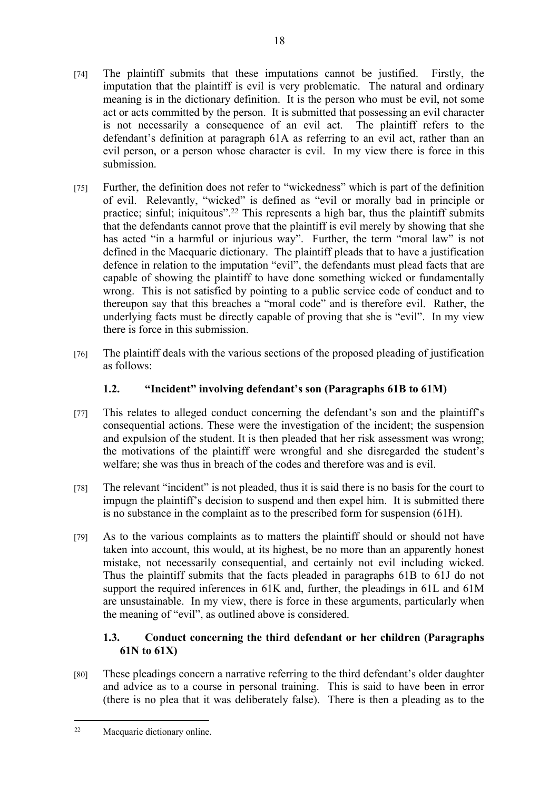- [74] The plaintiff submits that these imputations cannot be justified. Firstly, the imputation that the plaintiff is evil is very problematic. The natural and ordinary meaning is in the dictionary definition. It is the person who must be evil, not some act or acts committed by the person. It is submitted that possessing an evil character is not necessarily a consequence of an evil act. The plaintiff refers to the defendant's definition at paragraph 61A as referring to an evil act, rather than an evil person, or a person whose character is evil. In my view there is force in this submission.
- [75] Further, the definition does not refer to "wickedness" which is part of the definition of evil. Relevantly, "wicked" is defined as "evil or morally bad in principle or practice; sinful; iniquitous".<sup>22</sup> This represents a high bar, thus the plaintiff submits that the defendants cannot prove that the plaintiff is evil merely by showing that she has acted "in a harmful or injurious way". Further, the term "moral law" is not defined in the Macquarie dictionary. The plaintiff pleads that to have a justification defence in relation to the imputation "evil", the defendants must plead facts that are capable of showing the plaintiff to have done something wicked or fundamentally wrong. This is not satisfied by pointing to a public service code of conduct and to thereupon say that this breaches a "moral code" and is therefore evil. Rather, the underlying facts must be directly capable of proving that she is "evil". In my view there is force in this submission.
- [76] The plaintiff deals with the various sections of the proposed pleading of justification as follows:

# **1.2. "Incident" involving defendant's son (Paragraphs 61B to 61M)**

- [77] This relates to alleged conduct concerning the defendant's son and the plaintiff's consequential actions. These were the investigation of the incident; the suspension and expulsion of the student. It is then pleaded that her risk assessment was wrong; the motivations of the plaintiff were wrongful and she disregarded the student's welfare; she was thus in breach of the codes and therefore was and is evil.
- [78] The relevant "incident" is not pleaded, thus it is said there is no basis for the court to impugn the plaintiff's decision to suspend and then expel him. It is submitted there is no substance in the complaint as to the prescribed form for suspension (61H).
- [79] As to the various complaints as to matters the plaintiff should or should not have taken into account, this would, at its highest, be no more than an apparently honest mistake, not necessarily consequential, and certainly not evil including wicked. Thus the plaintiff submits that the facts pleaded in paragraphs 61B to 61J do not support the required inferences in 61K and, further, the pleadings in 61L and 61M are unsustainable. In my view, there is force in these arguments, particularly when the meaning of "evil", as outlined above is considered.

# **1.3. Conduct concerning the third defendant or her children (Paragraphs 61N to 61X)**

[80] These pleadings concern a narrative referring to the third defendant's older daughter and advice as to a course in personal training. This is said to have been in error (there is no plea that it was deliberately false). There is then a pleading as to the

<sup>22</sup> Macquarie dictionary online.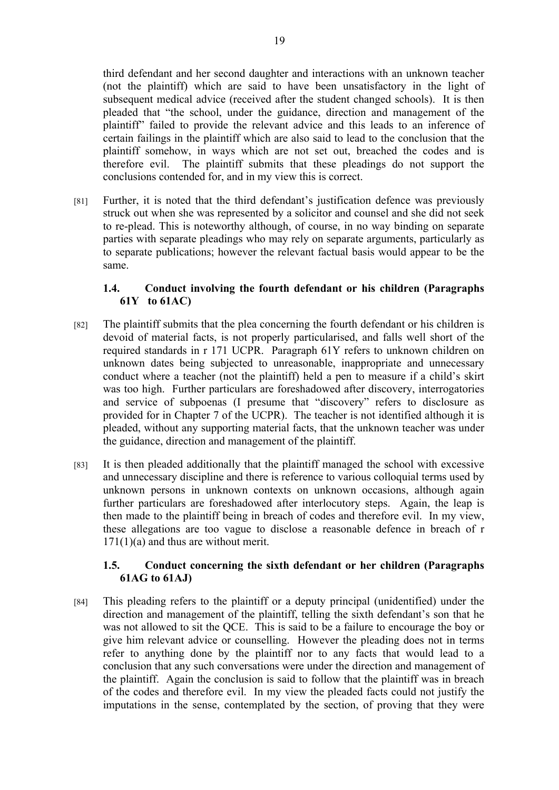third defendant and her second daughter and interactions with an unknown teacher (not the plaintiff) which are said to have been unsatisfactory in the light of subsequent medical advice (received after the student changed schools). It is then pleaded that "the school, under the guidance, direction and management of the plaintiff" failed to provide the relevant advice and this leads to an inference of certain failings in the plaintiff which are also said to lead to the conclusion that the plaintiff somehow, in ways which are not set out, breached the codes and is therefore evil. The plaintiff submits that these pleadings do not support the conclusions contended for, and in my view this is correct.

[81] Further, it is noted that the third defendant's justification defence was previously struck out when she was represented by a solicitor and counsel and she did not seek to re-plead. This is noteworthy although, of course, in no way binding on separate parties with separate pleadings who may rely on separate arguments, particularly as to separate publications; however the relevant factual basis would appear to be the same.

#### **1.4. Conduct involving the fourth defendant or his children (Paragraphs 61Y to 61AC)**

- [82] The plaintiff submits that the plea concerning the fourth defendant or his children is devoid of material facts, is not properly particularised, and falls well short of the required standards in r 171 UCPR. Paragraph 61Y refers to unknown children on unknown dates being subjected to unreasonable, inappropriate and unnecessary conduct where a teacher (not the plaintiff) held a pen to measure if a child's skirt was too high. Further particulars are foreshadowed after discovery, interrogatories and service of subpoenas (I presume that "discovery" refers to disclosure as provided for in Chapter 7 of the UCPR). The teacher is not identified although it is pleaded, without any supporting material facts, that the unknown teacher was under the guidance, direction and management of the plaintiff.
- [83] It is then pleaded additionally that the plaintiff managed the school with excessive and unnecessary discipline and there is reference to various colloquial terms used by unknown persons in unknown contexts on unknown occasions, although again further particulars are foreshadowed after interlocutory steps. Again, the leap is then made to the plaintiff being in breach of codes and therefore evil. In my view, these allegations are too vague to disclose a reasonable defence in breach of r 171(1)(a) and thus are without merit.

#### **1.5. Conduct concerning the sixth defendant or her children (Paragraphs 61AG to 61AJ)**

[84] This pleading refers to the plaintiff or a deputy principal (unidentified) under the direction and management of the plaintiff, telling the sixth defendant's son that he was not allowed to sit the QCE. This is said to be a failure to encourage the boy or give him relevant advice or counselling. However the pleading does not in terms refer to anything done by the plaintiff nor to any facts that would lead to a conclusion that any such conversations were under the direction and management of the plaintiff. Again the conclusion is said to follow that the plaintiff was in breach of the codes and therefore evil. In my view the pleaded facts could not justify the imputations in the sense, contemplated by the section, of proving that they were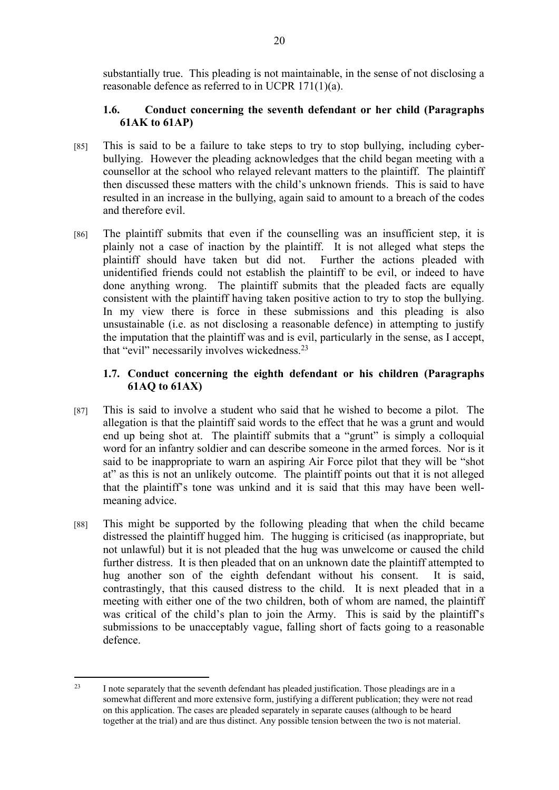substantially true. This pleading is not maintainable, in the sense of not disclosing a reasonable defence as referred to in UCPR 171(1)(a).

## **1.6. Conduct concerning the seventh defendant or her child (Paragraphs 61AK to 61AP)**

- [85] This is said to be a failure to take steps to try to stop bullying, including cyberbullying. However the pleading acknowledges that the child began meeting with a counsellor at the school who relayed relevant matters to the plaintiff. The plaintiff then discussed these matters with the child's unknown friends. This is said to have resulted in an increase in the bullying, again said to amount to a breach of the codes and therefore evil.
- [86] The plaintiff submits that even if the counselling was an insufficient step, it is plainly not a case of inaction by the plaintiff. It is not alleged what steps the plaintiff should have taken but did not. Further the actions pleaded with unidentified friends could not establish the plaintiff to be evil, or indeed to have done anything wrong. The plaintiff submits that the pleaded facts are equally consistent with the plaintiff having taken positive action to try to stop the bullying. In my view there is force in these submissions and this pleading is also unsustainable (i.e. as not disclosing a reasonable defence) in attempting to justify the imputation that the plaintiff was and is evil, particularly in the sense, as I accept, that "evil" necessarily involves wickedness.<sup>23</sup>

## **1.7. Conduct concerning the eighth defendant or his children (Paragraphs 61AQ to 61AX)**

- [87] This is said to involve a student who said that he wished to become a pilot. The allegation is that the plaintiff said words to the effect that he was a grunt and would end up being shot at. The plaintiff submits that a "grunt" is simply a colloquial word for an infantry soldier and can describe someone in the armed forces. Nor is it said to be inappropriate to warn an aspiring Air Force pilot that they will be "shot at" as this is not an unlikely outcome. The plaintiff points out that it is not alleged that the plaintiff's tone was unkind and it is said that this may have been wellmeaning advice.
- [88] This might be supported by the following pleading that when the child became distressed the plaintiff hugged him. The hugging is criticised (as inappropriate, but not unlawful) but it is not pleaded that the hug was unwelcome or caused the child further distress. It is then pleaded that on an unknown date the plaintiff attempted to hug another son of the eighth defendant without his consent. It is said, contrastingly, that this caused distress to the child. It is next pleaded that in a meeting with either one of the two children, both of whom are named, the plaintiff was critical of the child's plan to join the Army. This is said by the plaintiff's submissions to be unacceptably vague, falling short of facts going to a reasonable defence.

<sup>&</sup>lt;sup>23</sup> I note separately that the seventh defendant has pleaded justification. Those pleadings are in a somewhat different and more extensive form, justifying a different publication; they were not read on this application. The cases are pleaded separately in separate causes (although to be heard together at the trial) and are thus distinct. Any possible tension between the two is not material.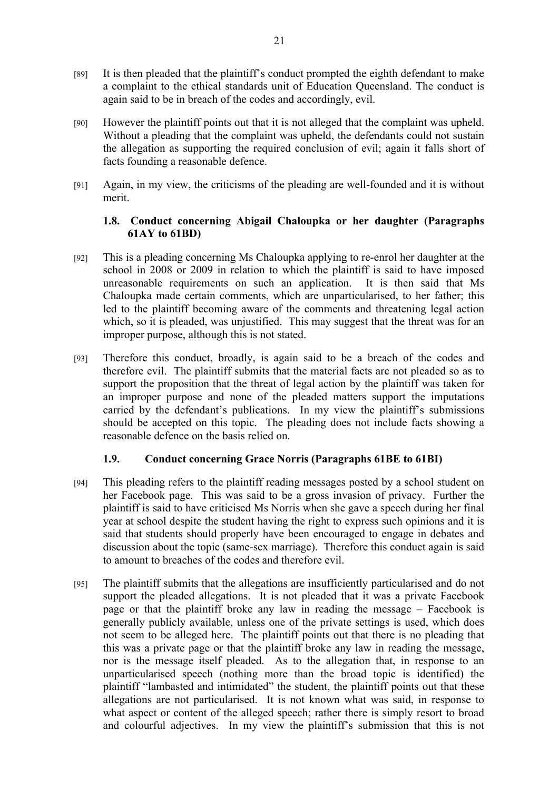- [89] It is then pleaded that the plaintiff's conduct prompted the eighth defendant to make a complaint to the ethical standards unit of Education Queensland. The conduct is again said to be in breach of the codes and accordingly, evil.
- [90] However the plaintiff points out that it is not alleged that the complaint was upheld. Without a pleading that the complaint was upheld, the defendants could not sustain the allegation as supporting the required conclusion of evil; again it falls short of facts founding a reasonable defence.
- [91] Again, in my view, the criticisms of the pleading are well-founded and it is without merit.

#### **1.8. Conduct concerning Abigail Chaloupka or her daughter (Paragraphs 61AY to 61BD)**

- [92] This is a pleading concerning Ms Chaloupka applying to re-enrol her daughter at the school in 2008 or 2009 in relation to which the plaintiff is said to have imposed unreasonable requirements on such an application. It is then said that Ms Chaloupka made certain comments, which are unparticularised, to her father; this led to the plaintiff becoming aware of the comments and threatening legal action which, so it is pleaded, was unjustified. This may suggest that the threat was for an improper purpose, although this is not stated.
- [93] Therefore this conduct, broadly, is again said to be a breach of the codes and therefore evil. The plaintiff submits that the material facts are not pleaded so as to support the proposition that the threat of legal action by the plaintiff was taken for an improper purpose and none of the pleaded matters support the imputations carried by the defendant's publications. In my view the plaintiff's submissions should be accepted on this topic. The pleading does not include facts showing a reasonable defence on the basis relied on.

## **1.9. Conduct concerning Grace Norris (Paragraphs 61BE to 61BI)**

- [94] This pleading refers to the plaintiff reading messages posted by a school student on her Facebook page. This was said to be a gross invasion of privacy. Further the plaintiff is said to have criticised Ms Norris when she gave a speech during her final year at school despite the student having the right to express such opinions and it is said that students should properly have been encouraged to engage in debates and discussion about the topic (same-sex marriage). Therefore this conduct again is said to amount to breaches of the codes and therefore evil.
- [95] The plaintiff submits that the allegations are insufficiently particularised and do not support the pleaded allegations. It is not pleaded that it was a private Facebook page or that the plaintiff broke any law in reading the message – Facebook is generally publicly available, unless one of the private settings is used, which does not seem to be alleged here. The plaintiff points out that there is no pleading that this was a private page or that the plaintiff broke any law in reading the message, nor is the message itself pleaded. As to the allegation that, in response to an unparticularised speech (nothing more than the broad topic is identified) the plaintiff "lambasted and intimidated" the student, the plaintiff points out that these allegations are not particularised. It is not known what was said, in response to what aspect or content of the alleged speech; rather there is simply resort to broad and colourful adjectives. In my view the plaintiff's submission that this is not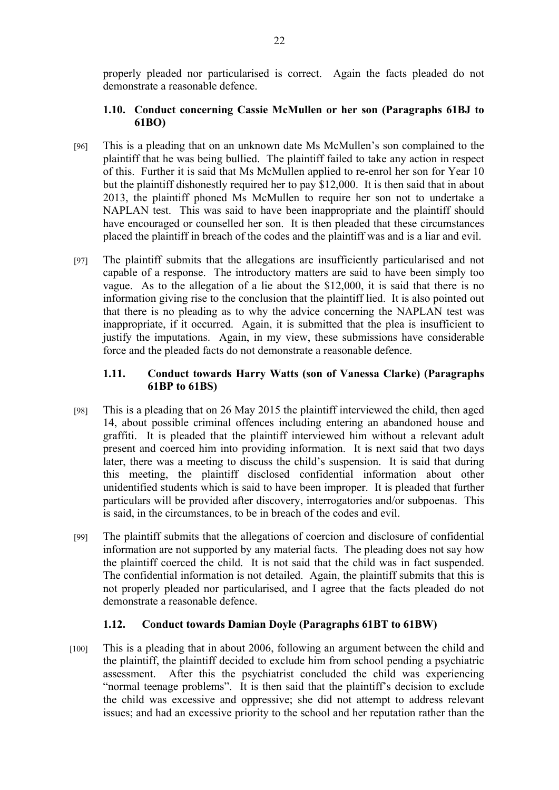properly pleaded nor particularised is correct. Again the facts pleaded do not demonstrate a reasonable defence.

#### **1.10. Conduct concerning Cassie McMullen or her son (Paragraphs 61BJ to 61BO)**

- [96] This is a pleading that on an unknown date Ms McMullen's son complained to the plaintiff that he was being bullied. The plaintiff failed to take any action in respect of this. Further it is said that Ms McMullen applied to re-enrol her son for Year 10 but the plaintiff dishonestly required her to pay \$12,000. It is then said that in about 2013, the plaintiff phoned Ms McMullen to require her son not to undertake a NAPLAN test. This was said to have been inappropriate and the plaintiff should have encouraged or counselled her son. It is then pleaded that these circumstances placed the plaintiff in breach of the codes and the plaintiff was and is a liar and evil.
- [97] The plaintiff submits that the allegations are insufficiently particularised and not capable of a response. The introductory matters are said to have been simply too vague. As to the allegation of a lie about the \$12,000, it is said that there is no information giving rise to the conclusion that the plaintiff lied. It is also pointed out that there is no pleading as to why the advice concerning the NAPLAN test was inappropriate, if it occurred. Again, it is submitted that the plea is insufficient to justify the imputations. Again, in my view, these submissions have considerable force and the pleaded facts do not demonstrate a reasonable defence.

## **1.11. Conduct towards Harry Watts (son of Vanessa Clarke) (Paragraphs 61BP to 61BS)**

- [98] This is a pleading that on 26 May 2015 the plaintiff interviewed the child, then aged 14, about possible criminal offences including entering an abandoned house and graffiti. It is pleaded that the plaintiff interviewed him without a relevant adult present and coerced him into providing information. It is next said that two days later, there was a meeting to discuss the child's suspension. It is said that during this meeting, the plaintiff disclosed confidential information about other unidentified students which is said to have been improper. It is pleaded that further particulars will be provided after discovery, interrogatories and/or subpoenas. This is said, in the circumstances, to be in breach of the codes and evil.
- [99] The plaintiff submits that the allegations of coercion and disclosure of confidential information are not supported by any material facts. The pleading does not say how the plaintiff coerced the child. It is not said that the child was in fact suspended. The confidential information is not detailed. Again, the plaintiff submits that this is not properly pleaded nor particularised, and I agree that the facts pleaded do not demonstrate a reasonable defence.

## **1.12. Conduct towards Damian Doyle (Paragraphs 61BT to 61BW)**

[100] This is a pleading that in about 2006, following an argument between the child and the plaintiff, the plaintiff decided to exclude him from school pending a psychiatric assessment. After this the psychiatrist concluded the child was experiencing "normal teenage problems". It is then said that the plaintiff's decision to exclude the child was excessive and oppressive; she did not attempt to address relevant issues; and had an excessive priority to the school and her reputation rather than the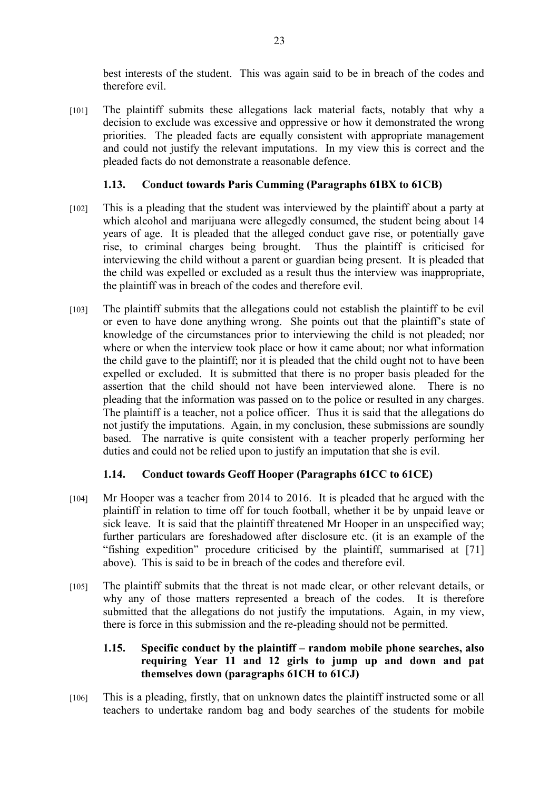best interests of the student. This was again said to be in breach of the codes and therefore evil.

[101] The plaintiff submits these allegations lack material facts, notably that why a decision to exclude was excessive and oppressive or how it demonstrated the wrong priorities. The pleaded facts are equally consistent with appropriate management and could not justify the relevant imputations. In my view this is correct and the pleaded facts do not demonstrate a reasonable defence.

#### **1.13. Conduct towards Paris Cumming (Paragraphs 61BX to 61CB)**

- [102] This is a pleading that the student was interviewed by the plaintiff about a party at which alcohol and marijuana were allegedly consumed, the student being about 14 years of age. It is pleaded that the alleged conduct gave rise, or potentially gave rise, to criminal charges being brought. Thus the plaintiff is criticised for interviewing the child without a parent or guardian being present. It is pleaded that the child was expelled or excluded as a result thus the interview was inappropriate, the plaintiff was in breach of the codes and therefore evil.
- [103] The plaintiff submits that the allegations could not establish the plaintiff to be evil or even to have done anything wrong. She points out that the plaintiff's state of knowledge of the circumstances prior to interviewing the child is not pleaded; nor where or when the interview took place or how it came about; nor what information the child gave to the plaintiff; nor it is pleaded that the child ought not to have been expelled or excluded. It is submitted that there is no proper basis pleaded for the assertion that the child should not have been interviewed alone. There is no pleading that the information was passed on to the police or resulted in any charges. The plaintiff is a teacher, not a police officer. Thus it is said that the allegations do not justify the imputations. Again, in my conclusion, these submissions are soundly based. The narrative is quite consistent with a teacher properly performing her duties and could not be relied upon to justify an imputation that she is evil.

## **1.14. Conduct towards Geoff Hooper (Paragraphs 61CC to 61CE)**

- [104] Mr Hooper was a teacher from 2014 to 2016. It is pleaded that he argued with the plaintiff in relation to time off for touch football, whether it be by unpaid leave or sick leave. It is said that the plaintiff threatened Mr Hooper in an unspecified way; further particulars are foreshadowed after disclosure etc. (it is an example of the "fishing expedition" procedure criticised by the plaintiff, summarised at [71] above). This is said to be in breach of the codes and therefore evil.
- [105] The plaintiff submits that the threat is not made clear, or other relevant details, or why any of those matters represented a breach of the codes. It is therefore submitted that the allegations do not justify the imputations. Again, in my view, there is force in this submission and the re-pleading should not be permitted.

## **1.15. Specific conduct by the plaintiff – random mobile phone searches, also requiring Year 11 and 12 girls to jump up and down and pat themselves down (paragraphs 61CH to 61CJ)**

[106] This is a pleading, firstly, that on unknown dates the plaintiff instructed some or all teachers to undertake random bag and body searches of the students for mobile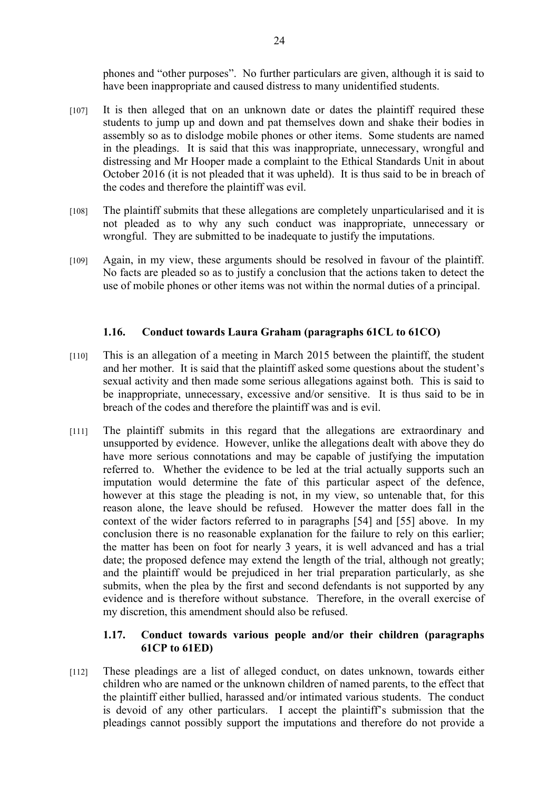phones and "other purposes". No further particulars are given, although it is said to have been inappropriate and caused distress to many unidentified students.

- [107] It is then alleged that on an unknown date or dates the plaintiff required these students to jump up and down and pat themselves down and shake their bodies in assembly so as to dislodge mobile phones or other items. Some students are named in the pleadings. It is said that this was inappropriate, unnecessary, wrongful and distressing and Mr Hooper made a complaint to the Ethical Standards Unit in about October 2016 (it is not pleaded that it was upheld). It is thus said to be in breach of the codes and therefore the plaintiff was evil.
- [108] The plaintiff submits that these allegations are completely unparticularised and it is not pleaded as to why any such conduct was inappropriate, unnecessary or wrongful. They are submitted to be inadequate to justify the imputations.
- [109] Again, in my view, these arguments should be resolved in favour of the plaintiff. No facts are pleaded so as to justify a conclusion that the actions taken to detect the use of mobile phones or other items was not within the normal duties of a principal.

#### **1.16. Conduct towards Laura Graham (paragraphs 61CL to 61CO)**

- [110] This is an allegation of a meeting in March 2015 between the plaintiff, the student and her mother. It is said that the plaintiff asked some questions about the student's sexual activity and then made some serious allegations against both. This is said to be inappropriate, unnecessary, excessive and/or sensitive. It is thus said to be in breach of the codes and therefore the plaintiff was and is evil.
- [111] The plaintiff submits in this regard that the allegations are extraordinary and unsupported by evidence. However, unlike the allegations dealt with above they do have more serious connotations and may be capable of justifying the imputation referred to. Whether the evidence to be led at the trial actually supports such an imputation would determine the fate of this particular aspect of the defence, however at this stage the pleading is not, in my view, so untenable that, for this reason alone, the leave should be refused. However the matter does fall in the context of the wider factors referred to in paragraphs [54] and [55] above. In my conclusion there is no reasonable explanation for the failure to rely on this earlier; the matter has been on foot for nearly 3 years, it is well advanced and has a trial date; the proposed defence may extend the length of the trial, although not greatly; and the plaintiff would be prejudiced in her trial preparation particularly, as she submits, when the plea by the first and second defendants is not supported by any evidence and is therefore without substance. Therefore, in the overall exercise of my discretion, this amendment should also be refused.

#### **1.17. Conduct towards various people and/or their children (paragraphs 61CP to 61ED)**

[112] These pleadings are a list of alleged conduct, on dates unknown, towards either children who are named or the unknown children of named parents, to the effect that the plaintiff either bullied, harassed and/or intimated various students. The conduct is devoid of any other particulars. I accept the plaintiff's submission that the pleadings cannot possibly support the imputations and therefore do not provide a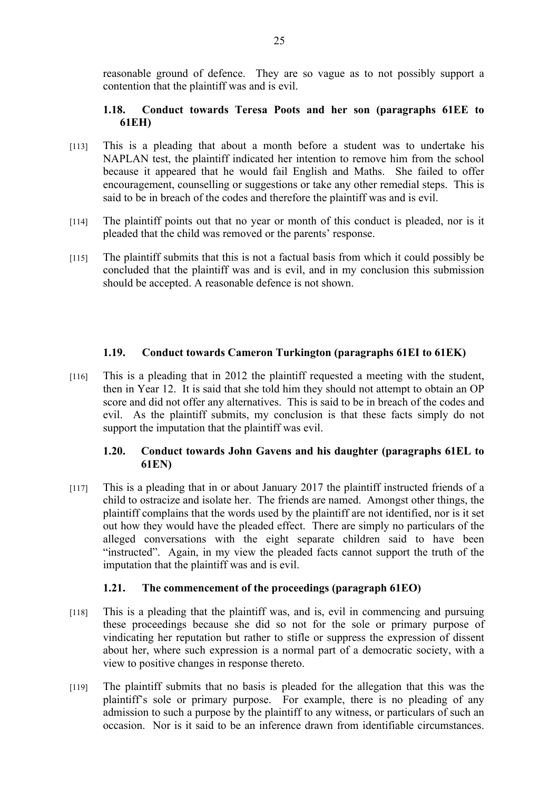reasonable ground of defence. They are so vague as to not possibly support a contention that the plaintiff was and is evil.

#### **1.18. Conduct towards Teresa Poots and her son (paragraphs 61EE to 61EH)**

- [113] This is a pleading that about a month before a student was to undertake his NAPLAN test, the plaintiff indicated her intention to remove him from the school because it appeared that he would fail English and Maths. She failed to offer encouragement, counselling or suggestions or take any other remedial steps. This is said to be in breach of the codes and therefore the plaintiff was and is evil.
- [114] The plaintiff points out that no year or month of this conduct is pleaded, nor is it pleaded that the child was removed or the parents' response.
- [115] The plaintiff submits that this is not a factual basis from which it could possibly be concluded that the plaintiff was and is evil, and in my conclusion this submission should be accepted. A reasonable defence is not shown.

#### **1.19. Conduct towards Cameron Turkington (paragraphs 61EI to 61EK)**

[116] This is a pleading that in 2012 the plaintiff requested a meeting with the student, then in Year 12. It is said that she told him they should not attempt to obtain an OP score and did not offer any alternatives. This is said to be in breach of the codes and evil. As the plaintiff submits, my conclusion is that these facts simply do not support the imputation that the plaintiff was evil.

## **1.20. Conduct towards John Gavens and his daughter (paragraphs 61EL to 61EN)**

[117] This is a pleading that in or about January 2017 the plaintiff instructed friends of a child to ostracize and isolate her. The friends are named. Amongst other things, the plaintiff complains that the words used by the plaintiff are not identified, nor is it set out how they would have the pleaded effect. There are simply no particulars of the alleged conversations with the eight separate children said to have been "instructed". Again, in my view the pleaded facts cannot support the truth of the imputation that the plaintiff was and is evil.

## **1.21. The commencement of the proceedings (paragraph 61EO)**

- [118] This is a pleading that the plaintiff was, and is, evil in commencing and pursuing these proceedings because she did so not for the sole or primary purpose of vindicating her reputation but rather to stifle or suppress the expression of dissent about her, where such expression is a normal part of a democratic society, with a view to positive changes in response thereto.
- [119] The plaintiff submits that no basis is pleaded for the allegation that this was the plaintiff's sole or primary purpose. For example, there is no pleading of any admission to such a purpose by the plaintiff to any witness, or particulars of such an occasion. Nor is it said to be an inference drawn from identifiable circumstances.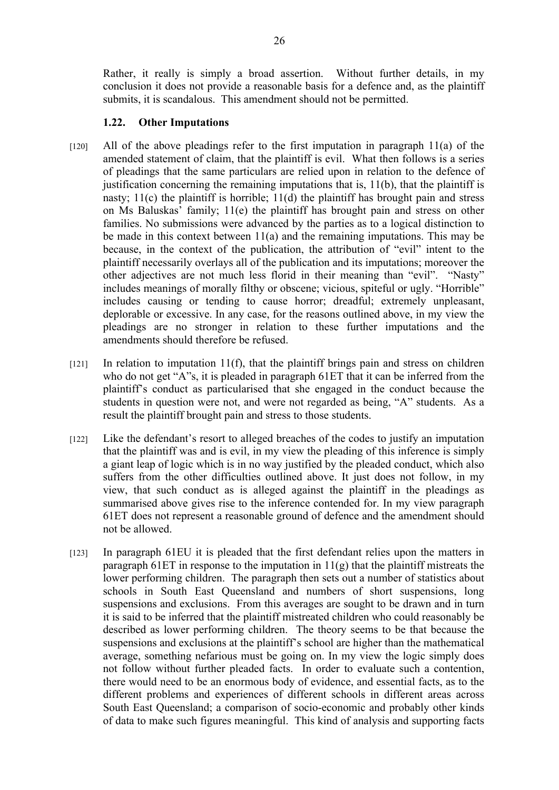Rather, it really is simply a broad assertion. Without further details, in my conclusion it does not provide a reasonable basis for a defence and, as the plaintiff submits, it is scandalous. This amendment should not be permitted.

#### **1.22. Other Imputations**

- $[120]$  All of the above pleadings refer to the first imputation in paragraph 11(a) of the amended statement of claim, that the plaintiff is evil. What then follows is a series of pleadings that the same particulars are relied upon in relation to the defence of justification concerning the remaining imputations that is, 11(b), that the plaintiff is nasty;  $11(c)$  the plaintiff is horrible;  $11(d)$  the plaintiff has brought pain and stress on Ms Baluskas' family; 11(e) the plaintiff has brought pain and stress on other families. No submissions were advanced by the parties as to a logical distinction to be made in this context between 11(a) and the remaining imputations. This may be because, in the context of the publication, the attribution of "evil" intent to the plaintiff necessarily overlays all of the publication and its imputations; moreover the other adjectives are not much less florid in their meaning than "evil". "Nasty" includes meanings of morally filthy or obscene; vicious, spiteful or ugly. "Horrible" includes causing or tending to cause horror; dreadful; extremely unpleasant, deplorable or excessive. In any case, for the reasons outlined above, in my view the pleadings are no stronger in relation to these further imputations and the amendments should therefore be refused.
- $[121]$  In relation to imputation 11(f), that the plaintiff brings pain and stress on children who do not get "A"s, it is pleaded in paragraph 61ET that it can be inferred from the plaintiff's conduct as particularised that she engaged in the conduct because the students in question were not, and were not regarded as being, "A" students. As a result the plaintiff brought pain and stress to those students.
- [122] Like the defendant's resort to alleged breaches of the codes to justify an imputation that the plaintiff was and is evil, in my view the pleading of this inference is simply a giant leap of logic which is in no way justified by the pleaded conduct, which also suffers from the other difficulties outlined above. It just does not follow, in my view, that such conduct as is alleged against the plaintiff in the pleadings as summarised above gives rise to the inference contended for. In my view paragraph 61ET does not represent a reasonable ground of defence and the amendment should not be allowed.
- [123] In paragraph 61EU it is pleaded that the first defendant relies upon the matters in paragraph 61ET in response to the imputation in  $11(g)$  that the plaintiff mistreats the lower performing children. The paragraph then sets out a number of statistics about schools in South East Queensland and numbers of short suspensions, long suspensions and exclusions. From this averages are sought to be drawn and in turn it is said to be inferred that the plaintiff mistreated children who could reasonably be described as lower performing children. The theory seems to be that because the suspensions and exclusions at the plaintiff's school are higher than the mathematical average, something nefarious must be going on. In my view the logic simply does not follow without further pleaded facts. In order to evaluate such a contention, there would need to be an enormous body of evidence, and essential facts, as to the different problems and experiences of different schools in different areas across South East Queensland; a comparison of socio-economic and probably other kinds of data to make such figures meaningful. This kind of analysis and supporting facts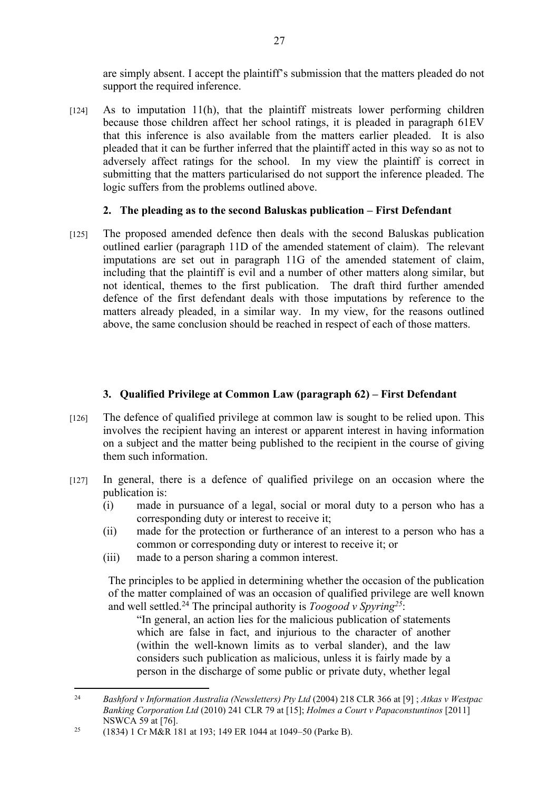are simply absent. I accept the plaintiff's submission that the matters pleaded do not support the required inference.

[124] As to imputation 11(h), that the plaintiff mistreats lower performing children because those children affect her school ratings, it is pleaded in paragraph 61EV that this inference is also available from the matters earlier pleaded. It is also pleaded that it can be further inferred that the plaintiff acted in this way so as not to adversely affect ratings for the school. In my view the plaintiff is correct in submitting that the matters particularised do not support the inference pleaded. The logic suffers from the problems outlined above.

## **2. The pleading as to the second Baluskas publication – First Defendant**

[125] The proposed amended defence then deals with the second Baluskas publication outlined earlier (paragraph 11D of the amended statement of claim). The relevant imputations are set out in paragraph 11G of the amended statement of claim, including that the plaintiff is evil and a number of other matters along similar, but not identical, themes to the first publication. The draft third further amended defence of the first defendant deals with those imputations by reference to the matters already pleaded, in a similar way. In my view, for the reasons outlined above, the same conclusion should be reached in respect of each of those matters.

## **3. Qualified Privilege at Common Law (paragraph 62) – First Defendant**

- [126] The defence of qualified privilege at common law is sought to be relied upon. This involves the recipient having an interest or apparent interest in having information on a subject and the matter being published to the recipient in the course of giving them such information.
- [127] In general, there is a defence of qualified privilege on an occasion where the publication is:
	- (i) made in pursuance of a legal, social or moral duty to a person who has a corresponding duty or interest to receive it;
	- (ii) made for the protection or furtherance of an interest to a person who has a common or corresponding duty or interest to receive it; or
	- (iii) made to a person sharing a common interest.

The principles to be applied in determining whether the occasion of the publication of the matter complained of was an occasion of qualified privilege are well known and well settled.<sup>24</sup> The principal authority is *Toogood v Spyring<sup>25</sup>*:

"In general, an action lies for the malicious publication of statements which are false in fact, and injurious to the character of another (within the well-known limits as to verbal slander), and the law considers such publication as malicious, unless it is fairly made by a person in the discharge of some public or private duty, whether legal

<sup>24</sup> *Bashford v Information Australia (Newsletters) Pty Ltd* (2004) 218 CLR 366 at [9] ; *Atkas v Westpac Banking Corporation Ltd* (2010) 241 CLR 79 at [15]; *Holmes a Court v Papaconstuntinos* [2011] NSWCA 59 at [76].

<sup>25</sup> (1834) 1 Cr M&R 181 at 193; 149 ER 1044 at 1049–50 (Parke B).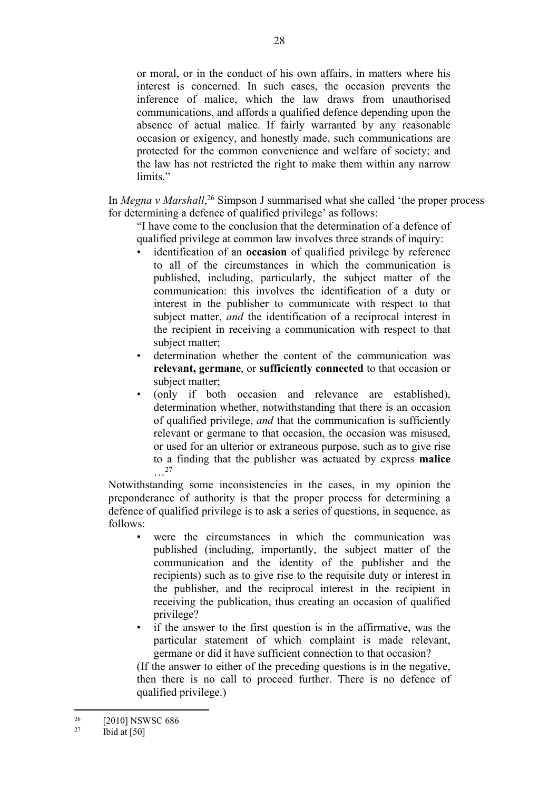or moral, or in the conduct of his own affairs, in matters where his interest is concerned. In such cases, the occasion prevents the inference of malice, which the law draws from unauthorised communications, and affords a qualified defence depending upon the absence of actual malice. If fairly warranted by any reasonable occasion or exigency, and honestly made, such communications are protected for the common convenience and welfare of society; and the law has not restricted the right to make them within any narrow limits<sup>"</sup>

In *Megna v Marshall*, <sup>26</sup> Simpson J summarised what she called 'the proper process for determining a defence of qualified privilege' as follows:

"I have come to the conclusion that the determination of a defence of qualified privilege at common law involves three strands of inquiry:

- identification of an **occasion** of qualified privilege by reference to all of the circumstances in which the communication is published, including, particularly, the subject matter of the communication: this involves the identification of a duty or interest in the publisher to communicate with respect to that subject matter, *and* the identification of a reciprocal interest in the recipient in receiving a communication with respect to that subject matter;
- determination whether the content of the communication was **relevant, germane**, or **sufficiently connected** to that occasion or subject matter;
- (only if both occasion and relevance are established), determination whether, notwithstanding that there is an occasion of qualified privilege, *and* that the communication is sufficiently relevant or germane to that occasion, the occasion was misused, or used for an ulterior or extraneous purpose, such as to give rise to a finding that the publisher was actuated by express **malice** …<sup>27</sup>

Notwithstanding some inconsistencies in the cases, in my opinion the preponderance of authority is that the proper process for determining a defence of qualified privilege is to ask a series of questions, in sequence, as follows:

- were the circumstances in which the communication was published (including, importantly, the subject matter of the communication and the identity of the publisher and the recipients) such as to give rise to the requisite duty or interest in the publisher, and the reciprocal interest in the recipient in receiving the publication, thus creating an occasion of qualified privilege?
- if the answer to the first question is in the affirmative, was the particular statement of which complaint is made relevant, germane or did it have sufficient connection to that occasion?

(If the answer to either of the preceding questions is in the negative, then there is no call to proceed further. There is no defence of qualified privilege.)

 $^{26}$  [2010] NSWSC 686<br>
<sup>27</sup> Ibid at [50]

Ibid at  $[50]$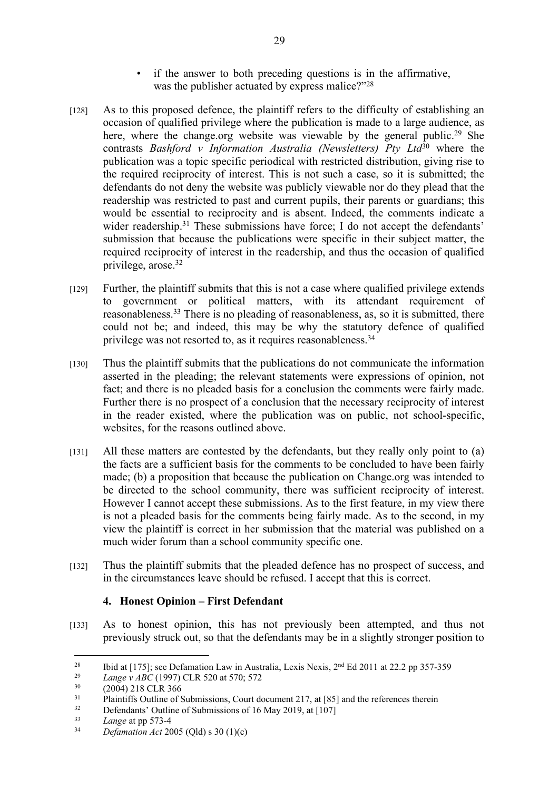- if the answer to both preceding questions is in the affirmative, was the publisher actuated by express malice?"<sup>28</sup>
- [128] As to this proposed defence, the plaintiff refers to the difficulty of establishing an occasion of qualified privilege where the publication is made to a large audience, as here, where the change.org website was viewable by the general public.<sup>29</sup> She contrasts *Bashford v Information Australia (Newsletters) Pty Ltd*<sup>30</sup> where the publication was a topic specific periodical with restricted distribution, giving rise to the required reciprocity of interest. This is not such a case, so it is submitted; the defendants do not deny the website was publicly viewable nor do they plead that the readership was restricted to past and current pupils, their parents or guardians; this would be essential to reciprocity and is absent. Indeed, the comments indicate a wider readership.<sup>31</sup> These submissions have force; I do not accept the defendants' submission that because the publications were specific in their subject matter, the required reciprocity of interest in the readership, and thus the occasion of qualified privilege, arose.<sup>32</sup>
- [129] Further, the plaintiff submits that this is not a case where qualified privilege extends to government or political matters, with its attendant requirement of reasonableness.<sup>33</sup> There is no pleading of reasonableness, as, so it is submitted, there could not be; and indeed, this may be why the statutory defence of qualified privilege was not resorted to, as it requires reasonableness.<sup>34</sup>
- [130] Thus the plaintiff submits that the publications do not communicate the information asserted in the pleading; the relevant statements were expressions of opinion, not fact; and there is no pleaded basis for a conclusion the comments were fairly made. Further there is no prospect of a conclusion that the necessary reciprocity of interest in the reader existed, where the publication was on public, not school-specific, websites, for the reasons outlined above.
- [131] All these matters are contested by the defendants, but they really only point to (a) the facts are a sufficient basis for the comments to be concluded to have been fairly made; (b) a proposition that because the publication on Change.org was intended to be directed to the school community, there was sufficient reciprocity of interest. However I cannot accept these submissions. As to the first feature, in my view there is not a pleaded basis for the comments being fairly made. As to the second, in my view the plaintiff is correct in her submission that the material was published on a much wider forum than a school community specific one.
- [132] Thus the plaintiff submits that the pleaded defence has no prospect of success, and in the circumstances leave should be refused. I accept that this is correct.

## **4. Honest Opinion – First Defendant**

[133] As to honest opinion, this has not previously been attempted, and thus not previously struck out, so that the defendants may be in a slightly stronger position to

<sup>&</sup>lt;sup>28</sup> Ibid at [175]; see Defamation Law in Australia, Lexis Nexis,  $2^{nd}$  Ed 2011 at 22.2 pp 357-359

<sup>&</sup>lt;sup>29</sup> *Lange v ABC* (1997) CLR 520 at 570; 572<br><sup>30</sup> (2004) 218 CLB 266

 $^{30}$  (2004) 218 CLR 366

 $31$  Plaintiffs Outline of Submissions, Court document 217, at [85] and the references therein<br> $32$  Defendents' Outline of Submissions of 16 May 2010, at  $[107]$ 

 $\frac{32}{10}$  Defendants' Outline of Submissions of 16 May 2019, at [107]

 $\frac{33}{34}$  *Lange* at pp 573-4

<sup>34</sup> *Defamation Act* 2005 (Qld) s 30 (1)(c)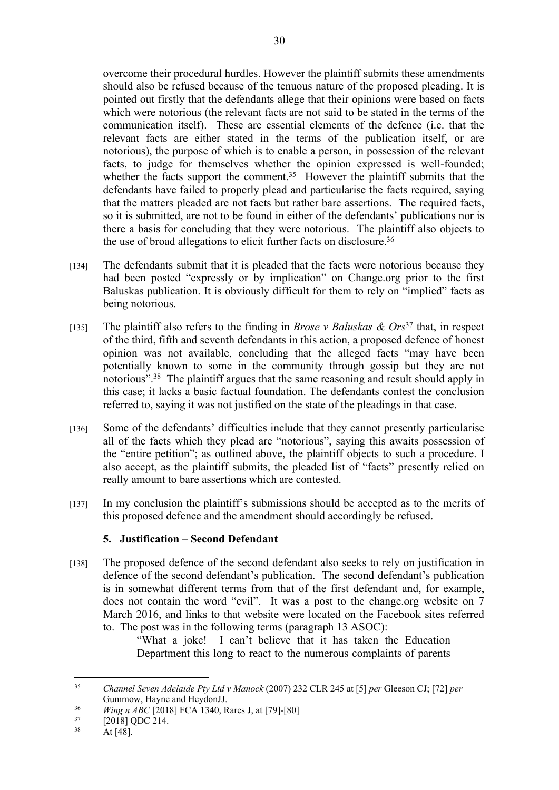overcome their procedural hurdles. However the plaintiff submits these amendments should also be refused because of the tenuous nature of the proposed pleading. It is pointed out firstly that the defendants allege that their opinions were based on facts which were notorious (the relevant facts are not said to be stated in the terms of the communication itself). These are essential elements of the defence (i.e. that the relevant facts are either stated in the terms of the publication itself, or are notorious), the purpose of which is to enable a person, in possession of the relevant facts, to judge for themselves whether the opinion expressed is well-founded; whether the facts support the comment.<sup>35</sup> However the plaintiff submits that the defendants have failed to properly plead and particularise the facts required, saying that the matters pleaded are not facts but rather bare assertions. The required facts, so it is submitted, are not to be found in either of the defendants' publications nor is there a basis for concluding that they were notorious. The plaintiff also objects to the use of broad allegations to elicit further facts on disclosure.<sup>36</sup>

- [134] The defendants submit that it is pleaded that the facts were notorious because they had been posted "expressly or by implication" on Change.org prior to the first Baluskas publication. It is obviously difficult for them to rely on "implied" facts as being notorious.
- [135] The plaintiff also refers to the finding in *Brose v Baluskas & Ors*<sup>37</sup> that, in respect of the third, fifth and seventh defendants in this action, a proposed defence of honest opinion was not available, concluding that the alleged facts "may have been potentially known to some in the community through gossip but they are not notorious".<sup>38</sup> The plaintiff argues that the same reasoning and result should apply in this case; it lacks a basic factual foundation. The defendants contest the conclusion referred to, saying it was not justified on the state of the pleadings in that case.
- [136] Some of the defendants' difficulties include that they cannot presently particularise all of the facts which they plead are "notorious", saying this awaits possession of the "entire petition"; as outlined above, the plaintiff objects to such a procedure. I also accept, as the plaintiff submits, the pleaded list of "facts" presently relied on really amount to bare assertions which are contested.
- [137] In my conclusion the plaintiff's submissions should be accepted as to the merits of this proposed defence and the amendment should accordingly be refused.

## **5. Justification – Second Defendant**

[138] The proposed defence of the second defendant also seeks to rely on justification in defence of the second defendant's publication. The second defendant's publication is in somewhat different terms from that of the first defendant and, for example, does not contain the word "evil". It was a post to the change.org website on 7 March 2016, and links to that website were located on the Facebook sites referred to. The post was in the following terms (paragraph 13 ASOC):

"What a joke! I can't believe that it has taken the Education Department this long to react to the numerous complaints of parents

<sup>35</sup> *Channel Seven Adelaide Pty Ltd v Manock* (2007) 232 CLR 245 at [5] *per* Gleeson CJ; [72] *per* Gummow, Hayne and HeydonJJ.

<sup>&</sup>lt;sup>36</sup> *Wing n ABC* [2018] FCA 1340, Rares J, at [79]-[80]

 $^{37}$  [2018] QDC 214.

At  $[48]$ .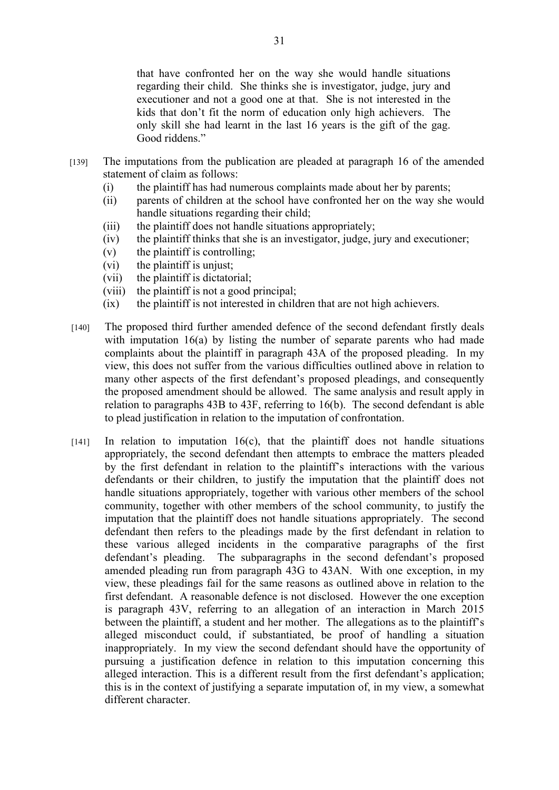that have confronted her on the way she would handle situations regarding their child. She thinks she is investigator, judge, jury and executioner and not a good one at that. She is not interested in the kids that don't fit the norm of education only high achievers. The only skill she had learnt in the last 16 years is the gift of the gag. Good riddens."

- [139] The imputations from the publication are pleaded at paragraph 16 of the amended statement of claim as follows:
	- (i) the plaintiff has had numerous complaints made about her by parents;
	- (ii) parents of children at the school have confronted her on the way she would handle situations regarding their child;
	- (iii) the plaintiff does not handle situations appropriately;
	- (iv) the plaintiff thinks that she is an investigator, judge, jury and executioner;
	- (v) the plaintiff is controlling;
	- (vi) the plaintiff is unjust;
	- (vii) the plaintiff is dictatorial;
	- (viii) the plaintiff is not a good principal;
	- (ix) the plaintiff is not interested in children that are not high achievers.
- [140] The proposed third further amended defence of the second defendant firstly deals with imputation 16(a) by listing the number of separate parents who had made complaints about the plaintiff in paragraph 43A of the proposed pleading. In my view, this does not suffer from the various difficulties outlined above in relation to many other aspects of the first defendant's proposed pleadings, and consequently the proposed amendment should be allowed. The same analysis and result apply in relation to paragraphs 43B to 43F, referring to 16(b). The second defendant is able to plead justification in relation to the imputation of confrontation.
- $[141]$  In relation to imputation 16(c), that the plaintiff does not handle situations appropriately, the second defendant then attempts to embrace the matters pleaded by the first defendant in relation to the plaintiff's interactions with the various defendants or their children, to justify the imputation that the plaintiff does not handle situations appropriately, together with various other members of the school community, together with other members of the school community, to justify the imputation that the plaintiff does not handle situations appropriately. The second defendant then refers to the pleadings made by the first defendant in relation to these various alleged incidents in the comparative paragraphs of the first defendant's pleading. The subparagraphs in the second defendant's proposed amended pleading run from paragraph 43G to 43AN. With one exception, in my view, these pleadings fail for the same reasons as outlined above in relation to the first defendant. A reasonable defence is not disclosed. However the one exception is paragraph 43V, referring to an allegation of an interaction in March 2015 between the plaintiff, a student and her mother. The allegations as to the plaintiff's alleged misconduct could, if substantiated, be proof of handling a situation inappropriately. In my view the second defendant should have the opportunity of pursuing a justification defence in relation to this imputation concerning this alleged interaction. This is a different result from the first defendant's application; this is in the context of justifying a separate imputation of, in my view, a somewhat different character.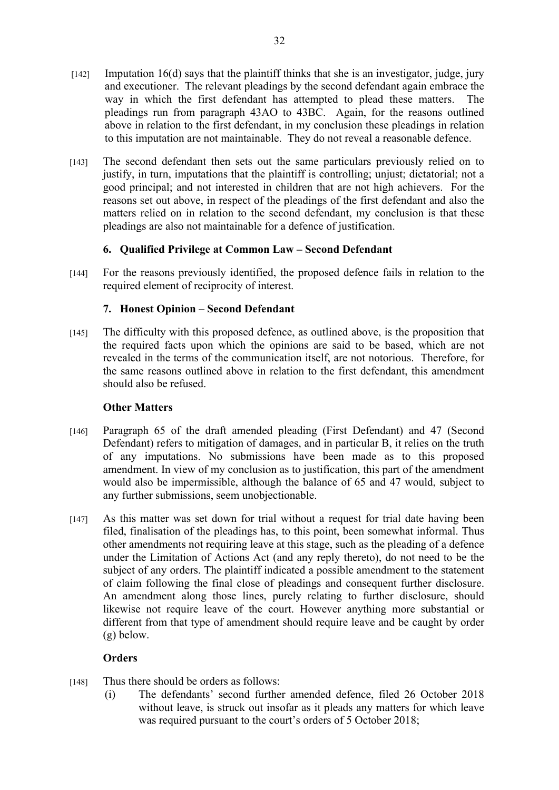- $[142]$  Imputation 16(d) says that the plaintiff thinks that she is an investigator, judge, jury and executioner. The relevant pleadings by the second defendant again embrace the way in which the first defendant has attempted to plead these matters. The pleadings run from paragraph 43AO to 43BC. Again, for the reasons outlined above in relation to the first defendant, in my conclusion these pleadings in relation to this imputation are not maintainable. They do not reveal a reasonable defence.
- [143] The second defendant then sets out the same particulars previously relied on to justify, in turn, imputations that the plaintiff is controlling; unjust; dictatorial; not a good principal; and not interested in children that are not high achievers. For the reasons set out above, in respect of the pleadings of the first defendant and also the matters relied on in relation to the second defendant, my conclusion is that these pleadings are also not maintainable for a defence of justification.

#### **6. Qualified Privilege at Common Law – Second Defendant**

[144] For the reasons previously identified, the proposed defence fails in relation to the required element of reciprocity of interest.

#### **7. Honest Opinion – Second Defendant**

[145] The difficulty with this proposed defence, as outlined above, is the proposition that the required facts upon which the opinions are said to be based, which are not revealed in the terms of the communication itself, are not notorious. Therefore, for the same reasons outlined above in relation to the first defendant, this amendment should also be refused.

#### **Other Matters**

- [146] Paragraph 65 of the draft amended pleading (First Defendant) and 47 (Second Defendant) refers to mitigation of damages, and in particular B, it relies on the truth of any imputations. No submissions have been made as to this proposed amendment. In view of my conclusion as to justification, this part of the amendment would also be impermissible, although the balance of 65 and 47 would, subject to any further submissions, seem unobjectionable.
- [147] As this matter was set down for trial without a request for trial date having been filed, finalisation of the pleadings has, to this point, been somewhat informal. Thus other amendments not requiring leave at this stage, such as the pleading of a defence under the Limitation of Actions Act (and any reply thereto), do not need to be the subject of any orders. The plaintiff indicated a possible amendment to the statement of claim following the final close of pleadings and consequent further disclosure. An amendment along those lines, purely relating to further disclosure, should likewise not require leave of the court. However anything more substantial or different from that type of amendment should require leave and be caught by order (g) below.

## **Orders**

- [148] Thus there should be orders as follows:
	- (i) The defendants' second further amended defence, filed 26 October 2018 without leave, is struck out insofar as it pleads any matters for which leave was required pursuant to the court's orders of 5 October 2018;